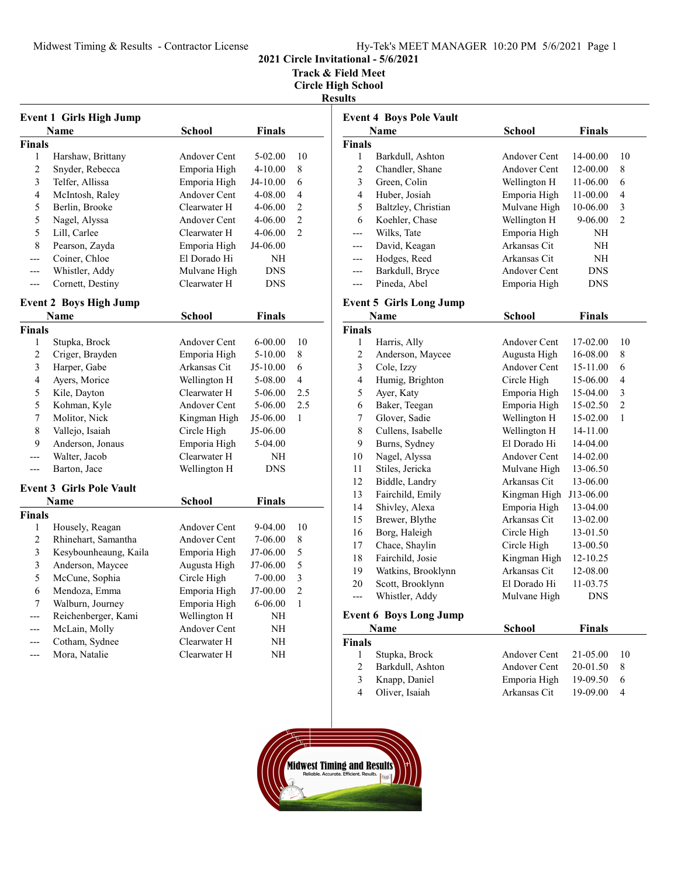Track & Field Meet

|                         | <b>Event 1 Girls High Jump</b>  |                     |               |                |
|-------------------------|---------------------------------|---------------------|---------------|----------------|
|                         | Name                            | School              | <b>Finals</b> |                |
| Finals                  |                                 |                     |               |                |
| 1                       | Harshaw, Brittany               | Andover Cent        | 5-02.00       | 10             |
| $\overline{2}$          | Snyder, Rebecca                 | Emporia High        | 4-10.00       | 8              |
| 3                       | Telfer, Allissa                 | Emporia High        | J4-10.00      | 6              |
| $\overline{4}$          | McIntosh, Raley                 | Andover Cent        | 4-08.00       | 4              |
| 5                       | Berlin, Brooke                  | Clearwater H        | 4-06.00       | $\overline{c}$ |
| 5                       | Nagel, Alyssa                   | Andover Cent        | 4-06.00       | $\overline{2}$ |
| 5                       | Lill, Carlee                    | Clearwater H        | 4-06.00       | $\overline{2}$ |
| 8                       | Pearson, Zayda                  | Emporia High        | J4-06.00      |                |
| $---$                   | Coiner, Chloe                   | El Dorado Hi        | NΗ            |                |
| ---                     | Whistler, Addy                  | Mulvane High        | <b>DNS</b>    |                |
| $---$                   | Cornett, Destiny                | Clearwater H        | <b>DNS</b>    |                |
|                         | <b>Event 2 Boys High Jump</b>   |                     |               |                |
|                         | Name                            | <b>School</b>       | Finals        |                |
| Finals                  |                                 |                     |               |                |
| 1                       | Stupka, Brock                   | Andover Cent        | $6 - 00.00$   | 10             |
| $\overline{c}$          | Criger, Brayden                 | Emporia High        | 5-10.00       | 8              |
| $\overline{\mathbf{3}}$ | Harper, Gabe                    | Arkansas Cit        | J5-10.00      | 6              |
| $\overline{4}$          | Ayers, Morice                   | Wellington H        | 5-08.00       | 4              |
| 5                       | Kile, Dayton                    | Clearwater H        | 5-06.00       | 2.5            |
| 5                       | Kohman, Kyle                    | Andover Cent        | 5-06.00       | 2.5            |
| $\overline{7}$          | Molitor, Nick                   | Kingman High        | J5-06.00      | 1              |
| 8                       | Vallejo, Isaiah                 | Circle High         | J5-06.00      |                |
| 9                       | Anderson, Jonaus                | Emporia High        | 5-04.00       |                |
| ---                     | Walter, Jacob                   | Clearwater H        | NΗ            |                |
|                         | Barton, Jace                    | Wellington H        | <b>DNS</b>    |                |
|                         | <b>Event 3 Girls Pole Vault</b> |                     |               |                |
|                         | Name                            | <b>School</b>       | <b>Finals</b> |                |
| <b>Finals</b>           |                                 |                     |               |                |
| 1                       | Housely, Reagan                 | <b>Andover Cent</b> | 9-04.00       | 10             |
| $\overline{c}$          | Rhinehart, Samantha             | Andover Cent        | 7-06.00       | 8              |
| 3                       | Kesybounheaung, Kaila           | Emporia High        | J7-06.00      | 5              |
| $\overline{\mathbf{3}}$ | Anderson, Maycee                | Augusta High        | J7-06.00      | 5              |
| 5                       | McCune, Sophia                  | Circle High         | 7-00.00       | 3              |
| 6                       | Mendoza, Emma                   | Emporia High        | J7-00.00      | $\overline{c}$ |
| 7                       | Walburn, Journey                | Emporia High        | 6-06.00       | 1              |
| $---$                   | Reichenberger, Kami             | Wellington H        | NΗ            |                |
| ---                     | McLain, Molly                   | <b>Andover Cent</b> | NΗ            |                |
| ---                     | Cotham, Sydnee                  | Clearwater H        | NΗ            |                |
|                         | Mora, Natalie                   | Clearwater H        | NH            |                |

|                          | <b>Event 4 Boys Pole Vault</b> |                     |               |              |
|--------------------------|--------------------------------|---------------------|---------------|--------------|
|                          | Name                           | <b>School</b>       | <b>Finals</b> |              |
| Finals                   |                                |                     |               |              |
| 1                        | Barkdull, Ashton               | Andover Cent        | 14-00.00      | 10           |
| $\overline{c}$           | Chandler, Shane                | <b>Andover Cent</b> | 12-00.00      | 8            |
| 3                        | Green, Colin                   | Wellington H        | 11-06.00      | 6            |
| $\overline{4}$           | Huber, Josiah                  | Emporia High        | 11-00.00      | 4            |
| 5                        | Baltzley, Christian            | Mulvane High        | 10-06.00      | 3            |
| 6                        | Koehler, Chase                 | Wellington H        | 9-06.00       | 2            |
| ---                      | Wilks, Tate                    | Emporia High        | NH            |              |
| ---                      | David, Keagan                  | Arkansas Cit        | NH            |              |
| ---                      | Hodges, Reed                   | Arkansas Cit        | NH            |              |
| ---                      | Barkdull, Bryce                | Andover Cent        | <b>DNS</b>    |              |
| ---                      | Pineda, Abel                   | Emporia High        | DNS           |              |
|                          | <b>Event 5 Girls Long Jump</b> |                     |               |              |
|                          | Name                           | <b>School</b>       | <b>Finals</b> |              |
| Finals                   |                                |                     |               |              |
| 1                        | Harris, Ally                   | Andover Cent        | 17-02.00      | 10           |
| $\overline{c}$           | Anderson, Maycee               | Augusta High        | 16-08.00      | 8            |
| 3                        | Cole, Izzy                     | <b>Andover Cent</b> | 15-11.00      | 6            |
| $\overline{\mathcal{L}}$ | Humig, Brighton                | Circle High         | 15-06.00      | 4            |
| 5                        | Ayer, Katy                     | Emporia High        | 15-04.00      | 3            |
| 6                        | Baker, Teegan                  | Emporia High        | 15-02.50      | 2            |
| $\sqrt{ }$               | Glover, Sadie                  | Wellington H        | 15-02.00      | $\mathbf{1}$ |
| 8                        | Cullens, Isabelle              | Wellington H        | 14-11.00      |              |
| 9                        | Burns, Sydney                  | El Dorado Hi        | 14-04.00      |              |
| 10                       | Nagel, Alyssa                  | <b>Andover Cent</b> | 14-02.00      |              |
| 11                       | Stiles, Jericka                | Mulvane High        | 13-06.50      |              |
| 12                       | Biddle, Landry                 | Arkansas Cit        | 13-06.00      |              |
| 13                       | Fairchild, Emily               | Kingman High        | J13-06.00     |              |
| 14                       | Shivley, Alexa                 | Emporia High        | 13-04.00      |              |
| 15                       | Brewer, Blythe                 | Arkansas Cit        | 13-02.00      |              |
| 16                       | Borg, Haleigh                  | Circle High         | 13-01.50      |              |
| 17                       | Chace, Shaylin                 | Circle High         | 13-00.50      |              |
| 18                       | Fairchild, Josie               | Kingman High        | 12-10.25      |              |
| 19                       | Watkins, Brooklynn             | Arkansas Cit        | 12-08.00      |              |
| 20                       | Scott, Brooklynn               | El Dorado Hi        | 11-03.75      |              |
| ---                      | Whistler, Addy                 | Mulvane High        | DNS           |              |
|                          |                                |                     |               |              |
|                          | <b>Event 6 Boys Long Jump</b>  |                     | $E^* = -1$    |              |
|                          | N <sub>1</sub>                 | $C - L - 1$         |               |              |

| Name             | <b>School</b> | <b>Finals</b> |                                       |
|------------------|---------------|---------------|---------------------------------------|
| <b>Finals</b>    |               |               |                                       |
| Stupka, Brock    |               |               | $\sqrt{10}$                           |
| Barkdull, Ashton |               | 20-01.50      |                                       |
| Knapp, Daniel    | Emporia High  | 19-09.50      | -6                                    |
| Oliver, Isaiah   | Arkansas Cit  | $19-09.00$    |                                       |
|                  |               |               | Andover Cent 21-05.00<br>Andover Cent |

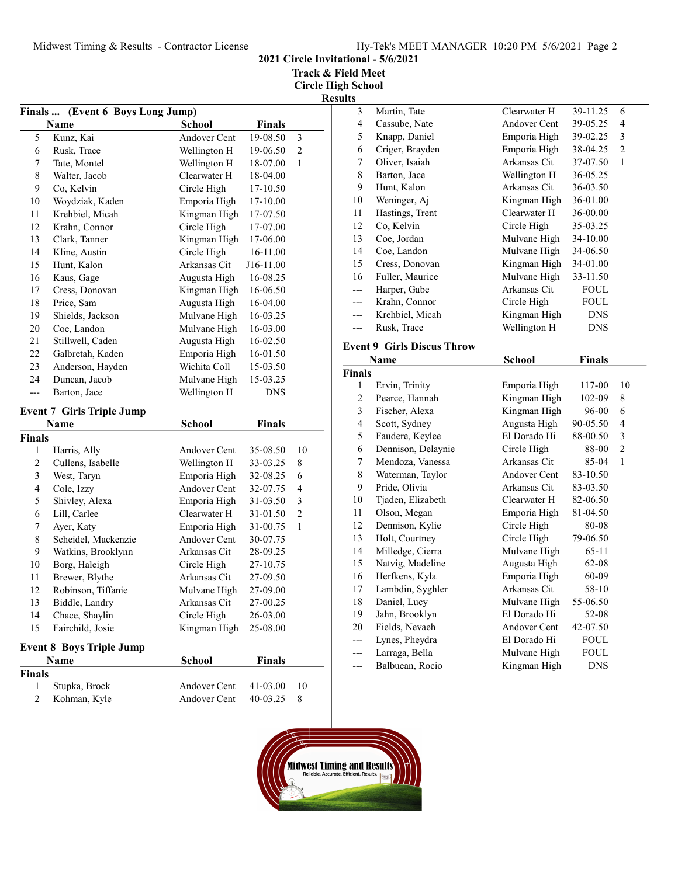2021 Circle Invitational - 5/6/2021

Track & Field Meet

| (Event 6 Boys Long Jump)<br><b>Finals …</b> |                                         |                     |               |                |
|---------------------------------------------|-----------------------------------------|---------------------|---------------|----------------|
|                                             | <b>Name</b>                             | <b>School</b>       | <b>Finals</b> |                |
| 5                                           | Kunz, Kai                               | Andover Cent        | 19-08.50      | 3              |
| 6                                           | Rusk, Trace                             | Wellington H        | 19-06.50      | $\overline{c}$ |
| 7                                           | Tate, Montel                            | Wellington H        | 18-07.00      | 1              |
| 8                                           | Walter, Jacob                           | Clearwater H        | 18-04.00      |                |
| 9                                           | Co, Kelvin                              | Circle High         | 17-10.50      |                |
| 10                                          | Woydziak, Kaden                         | Emporia High        | 17-10.00      |                |
| 11                                          | Krehbiel, Micah                         | Kingman High        | 17-07.50      |                |
| 12                                          | Krahn, Connor                           | Circle High         | 17-07.00      |                |
| 13                                          | Clark, Tanner                           | Kingman High        | 17-06.00      |                |
| 14                                          | Kline, Austin                           | Circle High         | 16-11.00      |                |
| 15                                          | Hunt, Kalon                             | Arkansas Cit        | J16-11.00     |                |
| 16                                          | Kaus, Gage                              | Augusta High        | 16-08.25      |                |
| 17                                          | Cress, Donovan                          | Kingman High        | 16-06.50      |                |
| 18                                          | Price, Sam                              | Augusta High        | 16-04.00      |                |
| 19                                          | Shields, Jackson                        | Mulvane High        | 16-03.25      |                |
| 20                                          | Coe, Landon                             | Mulvane High        | 16-03.00      |                |
| 21                                          | Stillwell, Caden                        | Augusta High        | 16-02.50      |                |
| 22                                          | Galbretah, Kaden                        | Emporia High        | 16-01.50      |                |
| 23                                          | Anderson, Hayden                        | Wichita Coll        | 15-03.50      |                |
| 24                                          | Duncan, Jacob                           | Mulvane High        | 15-03.25      |                |
| $\overline{a}$                              | Barton, Jace                            | Wellington H        | <b>DNS</b>    |                |
|                                             | <b>Event 7 Girls Triple Jump</b>        |                     |               |                |
|                                             | <b>Name</b>                             | <b>School</b>       | <b>Finals</b> |                |
| Finals                                      |                                         |                     |               |                |
| 1                                           | Harris, Ally                            | Andover Cent        | 35-08.50      | 10             |
| $\overline{c}$                              | Cullens, Isabelle                       | Wellington H        | 33-03.25      | 8              |
| $\mathfrak{Z}$                              | West, Taryn                             | Emporia High        | 32-08.25      | 6              |
| $\overline{4}$                              | Cole, Izzy                              | <b>Andover Cent</b> | 32-07.75      | $\overline{4}$ |
| 5                                           | Shivley, Alexa                          | Emporia High        | 31-03.50      | 3              |
| 6                                           | Lill, Carlee                            | Clearwater H        | 31-01.50      | $\overline{c}$ |
| $\boldsymbol{7}$                            | Ayer, Katy                              | Emporia High        | 31-00.75      | 1              |
| 8                                           | Scheidel, Mackenzie                     | Andover Cent        | 30-07.75      |                |
| 9                                           | Watkins, Brooklynn                      | Arkansas Cit        | 28-09.25      |                |
| 10                                          | Borg, Haleigh                           | Circle High         | 27-10.75      |                |
| 11                                          | Brewer, Blythe                          | Arkansas Cit        | 27-09.50      |                |
| 12                                          | Robinson, Tiffanie                      | Mulvane High        | 27-09.00      |                |
| 13                                          | Biddle, Landry                          | Arkansas Cit        | 27-00.25      |                |
| 14                                          | Chace, Shaylin                          | Circle High         | 26-03.00      |                |
| 15                                          | Fairchild, Josie                        | Kingman High        | 25-08.00      |                |
|                                             |                                         |                     |               |                |
|                                             | <b>Event 8 Boys Triple Jump</b><br>Name | <b>School</b>       | <b>Finals</b> |                |
| Finals                                      |                                         |                     |               |                |
| 1                                           | Stupka, Brock                           | Andover Cent        | 41-03.00      | 10             |
| $\overline{c}$                              | Kohman, Kyle                            | Andover Cent        | 40-03.25      | 8              |
|                                             |                                         |                     |               |                |

| 3<br>Martin, Tate<br>Clearwater H                         | 39-11.25<br>6                        |
|-----------------------------------------------------------|--------------------------------------|
| $\overline{\mathcal{L}}$<br>Cassube, Nate<br>Andover Cent | 39-05.25<br>$\overline{\mathcal{L}}$ |
| Knapp, Daniel<br>Emporia High<br>5                        | 39-02.25<br>3                        |
| Emporia High<br>6<br>Criger, Brayden                      | $\overline{c}$<br>38-04.25           |
| Oliver, Isaiah<br>Arkansas Cit<br>$\sqrt{ }$              | $\mathbf{1}$<br>37-07.50             |
| 8<br>Barton, Jace<br>Wellington H                         | 36-05.25                             |
| Arkansas Cit<br>9<br>Hunt, Kalon                          | 36-03.50                             |
| Weninger, Aj<br>10<br>Kingman High                        | 36-01.00                             |
| Hastings, Trent<br>Clearwater H<br>11                     | 36-00.00                             |
| Co, Kelvin<br>Circle High<br>12                           | 35-03.25                             |
| Coe, Jordan<br>Mulvane High<br>13                         | 34-10.00                             |
| Coe, Landon<br>Mulvane High<br>14                         | 34-06.50                             |
| Cress, Donovan<br>Kingman High<br>15                      | 34-01.00                             |
| Mulvane High<br>Fuller, Maurice<br>16                     | 33-11.50                             |
| Harper, Gabe<br>Arkansas Cit<br>---                       | <b>FOUL</b>                          |
| Krahn, Connor<br>Circle High<br>---                       | <b>FOUL</b>                          |
| Kingman High<br>Krehbiel, Micah<br>---                    | <b>DNS</b>                           |
| Wellington H<br>Rusk, Trace<br>---                        | <b>DNS</b>                           |
| <b>Event 9 Girls Discus Throw</b>                         |                                      |
| Name<br><b>School</b>                                     | <b>Finals</b>                        |
| <b>Finals</b>                                             |                                      |
| Ervin, Trinity<br>Emporia High<br>1                       | 117-00<br>10                         |
|                                                           |                                      |
|                                                           |                                      |
| $\overline{c}$<br>Kingman High<br>Pearce, Hannah          | 8<br>102-09                          |
| 3<br>Fischer, Alexa<br>Kingman High                       | 96-00<br>6                           |
| $\overline{\mathbf{4}}$<br>Scott, Sydney<br>Augusta High  | 4<br>90-05.50                        |
| 5<br>Faudere, Keylee<br>El Dorado Hi                      | $\mathfrak{Z}$<br>88-00.50           |
| Dennison, Delaynie<br>6<br>Circle High                    | $\overline{c}$<br>88-00              |
| Mendoza, Vanessa<br>Arkansas Cit<br>7                     | 85-04<br>1                           |
| $\,$ $\,$<br>Waterman, Taylor<br><b>Andover Cent</b>      | 83-10.50                             |
| Pride, Olivia<br>9<br>Arkansas Cit                        | 83-03.50                             |
| Tjaden, Elizabeth<br>Clearwater H<br>10                   | 82-06.50                             |
| Olson, Megan<br>Emporia High<br>11<br>12                  | 81-04.50                             |
| Dennison, Kylie<br>Circle High                            | 80-08                                |
| Holt, Courtney<br>Circle High<br>13                       | 79-06.50                             |
| Milledge, Cierra<br>Mulvane High<br>14                    | 65-11                                |
| Natvig, Madeline<br>Augusta High<br>15<br>16              | 62-08                                |
| Herfkens, Kyla<br>Emporia High<br>Arkansas Cit            | 60-09                                |
| Lambdin, Syghler<br>17                                    | 58-10                                |
| Daniel, Lucy<br>Mulvane High<br>18<br>El Dorado Hi<br>19  | 55-06.50<br>52-08                    |
| Jahn, Brooklyn<br>Fields, Nevaeh<br>Andover Cent<br>20    | 42-07.50                             |
| El Dorado Hi<br>---                                       | <b>FOUL</b>                          |
| Lynes, Pheydra<br>Larraga, Bella<br>Mulvane High<br>---   | <b>FOUL</b>                          |

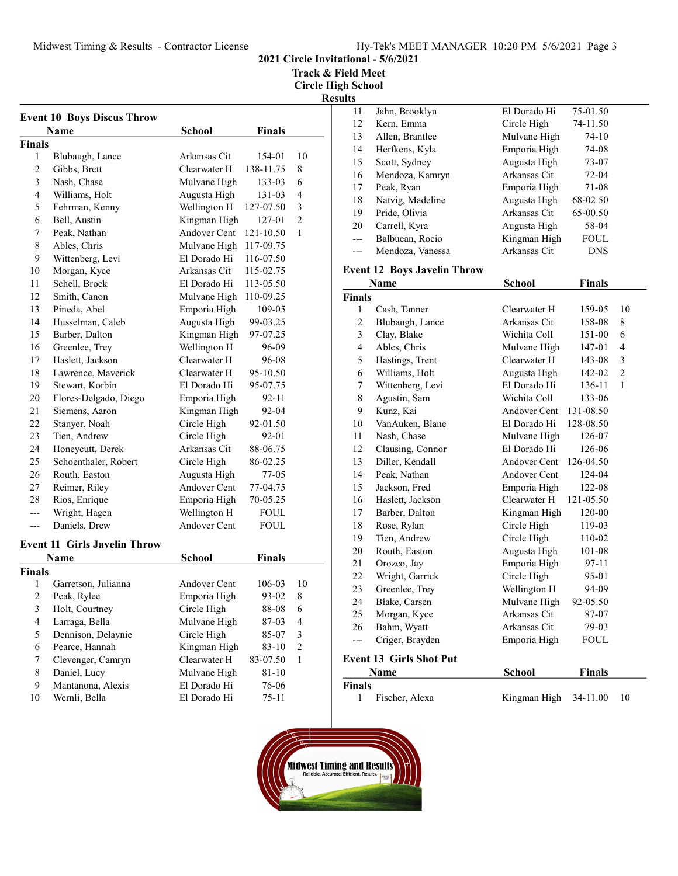Track & Field Meet

Circle High School Result

| <b>Finals</b><br>Name<br>School<br><b>Finals</b><br>1<br>Blubaugh, Lance<br>Arkansas Cit<br>154-01<br>$\overline{c}$<br>Gibbs, Brett<br>Clearwater H<br>138-11.75<br>3<br>Nash, Chase<br>Mulvane High<br>133-03<br>4<br>Williams, Holt<br>Augusta High<br>131-03<br>Wellington H<br>5<br>Fehrman, Kenny<br>127-07.50<br>6<br>Bell, Austin<br>Kingman High<br>127-01<br>Andover Cent<br>7<br>Peak, Nathan<br>121-10.50<br>8<br>Ables, Chris<br>Mulvane High<br>117-09.75<br>9<br>Wittenberg, Levi<br>El Dorado Hi<br>116-07.50<br>10<br>Arkansas Cit<br>Morgan, Kyce<br>115-02.75<br>11<br>Schell, Brock<br>El Dorado Hi<br>113-05.50<br>12<br>Smith, Canon<br>Mulvane High<br>110-09.25<br>13<br>Pineda, Abel<br>Emporia High<br>109-05<br>14<br>Husselman, Caleb<br>Augusta High<br>99-03.25<br>15<br>Barber, Dalton<br>Kingman High<br>97-07.25<br>16<br>Greenlee, Trey<br>Wellington H<br>96-09<br>Clearwater H<br>17<br>Haslett, Jackson<br>96-08<br>18<br>Clearwater H<br>Lawrence, Maverick<br>95-10.50<br>19<br>Stewart, Korbin<br>El Dorado Hi<br>95-07.75<br>20<br>Emporia High<br>Flores-Delgado, Diego<br>92-11<br>21<br>Kingman High<br>Siemens, Aaron<br>92-04<br>22<br>Circle High<br>Stanyer, Noah<br>92-01.50 | 10             |
|-------------------------------------------------------------------------------------------------------------------------------------------------------------------------------------------------------------------------------------------------------------------------------------------------------------------------------------------------------------------------------------------------------------------------------------------------------------------------------------------------------------------------------------------------------------------------------------------------------------------------------------------------------------------------------------------------------------------------------------------------------------------------------------------------------------------------------------------------------------------------------------------------------------------------------------------------------------------------------------------------------------------------------------------------------------------------------------------------------------------------------------------------------------------------------------------------------------------------------|----------------|
|                                                                                                                                                                                                                                                                                                                                                                                                                                                                                                                                                                                                                                                                                                                                                                                                                                                                                                                                                                                                                                                                                                                                                                                                                               |                |
|                                                                                                                                                                                                                                                                                                                                                                                                                                                                                                                                                                                                                                                                                                                                                                                                                                                                                                                                                                                                                                                                                                                                                                                                                               |                |
|                                                                                                                                                                                                                                                                                                                                                                                                                                                                                                                                                                                                                                                                                                                                                                                                                                                                                                                                                                                                                                                                                                                                                                                                                               |                |
|                                                                                                                                                                                                                                                                                                                                                                                                                                                                                                                                                                                                                                                                                                                                                                                                                                                                                                                                                                                                                                                                                                                                                                                                                               | 8              |
|                                                                                                                                                                                                                                                                                                                                                                                                                                                                                                                                                                                                                                                                                                                                                                                                                                                                                                                                                                                                                                                                                                                                                                                                                               | 6              |
|                                                                                                                                                                                                                                                                                                                                                                                                                                                                                                                                                                                                                                                                                                                                                                                                                                                                                                                                                                                                                                                                                                                                                                                                                               | 4              |
|                                                                                                                                                                                                                                                                                                                                                                                                                                                                                                                                                                                                                                                                                                                                                                                                                                                                                                                                                                                                                                                                                                                                                                                                                               | 3              |
|                                                                                                                                                                                                                                                                                                                                                                                                                                                                                                                                                                                                                                                                                                                                                                                                                                                                                                                                                                                                                                                                                                                                                                                                                               | $\overline{2}$ |
|                                                                                                                                                                                                                                                                                                                                                                                                                                                                                                                                                                                                                                                                                                                                                                                                                                                                                                                                                                                                                                                                                                                                                                                                                               | 1              |
|                                                                                                                                                                                                                                                                                                                                                                                                                                                                                                                                                                                                                                                                                                                                                                                                                                                                                                                                                                                                                                                                                                                                                                                                                               |                |
|                                                                                                                                                                                                                                                                                                                                                                                                                                                                                                                                                                                                                                                                                                                                                                                                                                                                                                                                                                                                                                                                                                                                                                                                                               |                |
|                                                                                                                                                                                                                                                                                                                                                                                                                                                                                                                                                                                                                                                                                                                                                                                                                                                                                                                                                                                                                                                                                                                                                                                                                               |                |
|                                                                                                                                                                                                                                                                                                                                                                                                                                                                                                                                                                                                                                                                                                                                                                                                                                                                                                                                                                                                                                                                                                                                                                                                                               |                |
|                                                                                                                                                                                                                                                                                                                                                                                                                                                                                                                                                                                                                                                                                                                                                                                                                                                                                                                                                                                                                                                                                                                                                                                                                               |                |
|                                                                                                                                                                                                                                                                                                                                                                                                                                                                                                                                                                                                                                                                                                                                                                                                                                                                                                                                                                                                                                                                                                                                                                                                                               |                |
|                                                                                                                                                                                                                                                                                                                                                                                                                                                                                                                                                                                                                                                                                                                                                                                                                                                                                                                                                                                                                                                                                                                                                                                                                               |                |
|                                                                                                                                                                                                                                                                                                                                                                                                                                                                                                                                                                                                                                                                                                                                                                                                                                                                                                                                                                                                                                                                                                                                                                                                                               |                |
|                                                                                                                                                                                                                                                                                                                                                                                                                                                                                                                                                                                                                                                                                                                                                                                                                                                                                                                                                                                                                                                                                                                                                                                                                               |                |
|                                                                                                                                                                                                                                                                                                                                                                                                                                                                                                                                                                                                                                                                                                                                                                                                                                                                                                                                                                                                                                                                                                                                                                                                                               |                |
|                                                                                                                                                                                                                                                                                                                                                                                                                                                                                                                                                                                                                                                                                                                                                                                                                                                                                                                                                                                                                                                                                                                                                                                                                               |                |
|                                                                                                                                                                                                                                                                                                                                                                                                                                                                                                                                                                                                                                                                                                                                                                                                                                                                                                                                                                                                                                                                                                                                                                                                                               |                |
|                                                                                                                                                                                                                                                                                                                                                                                                                                                                                                                                                                                                                                                                                                                                                                                                                                                                                                                                                                                                                                                                                                                                                                                                                               |                |
|                                                                                                                                                                                                                                                                                                                                                                                                                                                                                                                                                                                                                                                                                                                                                                                                                                                                                                                                                                                                                                                                                                                                                                                                                               |                |
|                                                                                                                                                                                                                                                                                                                                                                                                                                                                                                                                                                                                                                                                                                                                                                                                                                                                                                                                                                                                                                                                                                                                                                                                                               |                |
| 23<br>Tien, Andrew<br>Circle High<br>92-01                                                                                                                                                                                                                                                                                                                                                                                                                                                                                                                                                                                                                                                                                                                                                                                                                                                                                                                                                                                                                                                                                                                                                                                    |                |
| 24<br>Honeycutt, Derek<br>Arkansas Cit<br>88-06.75                                                                                                                                                                                                                                                                                                                                                                                                                                                                                                                                                                                                                                                                                                                                                                                                                                                                                                                                                                                                                                                                                                                                                                            |                |
| 25<br>Schoenthaler, Robert<br>Circle High<br>86-02.25                                                                                                                                                                                                                                                                                                                                                                                                                                                                                                                                                                                                                                                                                                                                                                                                                                                                                                                                                                                                                                                                                                                                                                         |                |
| 26<br>Routh, Easton<br>Augusta High<br>77-05                                                                                                                                                                                                                                                                                                                                                                                                                                                                                                                                                                                                                                                                                                                                                                                                                                                                                                                                                                                                                                                                                                                                                                                  |                |
| 27<br><b>Andover Cent</b><br>Reimer, Riley<br>77-04.75                                                                                                                                                                                                                                                                                                                                                                                                                                                                                                                                                                                                                                                                                                                                                                                                                                                                                                                                                                                                                                                                                                                                                                        |                |
| 28<br>Rios, Enrique<br>Emporia High<br>70-05.25                                                                                                                                                                                                                                                                                                                                                                                                                                                                                                                                                                                                                                                                                                                                                                                                                                                                                                                                                                                                                                                                                                                                                                               |                |
| Wellington H<br>Wright, Hagen<br>FOUL<br>---                                                                                                                                                                                                                                                                                                                                                                                                                                                                                                                                                                                                                                                                                                                                                                                                                                                                                                                                                                                                                                                                                                                                                                                  |                |
| Daniels, Drew<br><b>Andover Cent</b><br><b>FOUL</b><br>---                                                                                                                                                                                                                                                                                                                                                                                                                                                                                                                                                                                                                                                                                                                                                                                                                                                                                                                                                                                                                                                                                                                                                                    |                |
|                                                                                                                                                                                                                                                                                                                                                                                                                                                                                                                                                                                                                                                                                                                                                                                                                                                                                                                                                                                                                                                                                                                                                                                                                               |                |
| <b>Event 11 Girls Javelin Throw</b>                                                                                                                                                                                                                                                                                                                                                                                                                                                                                                                                                                                                                                                                                                                                                                                                                                                                                                                                                                                                                                                                                                                                                                                           |                |
| <b>School</b><br><b>Finals</b><br>Name                                                                                                                                                                                                                                                                                                                                                                                                                                                                                                                                                                                                                                                                                                                                                                                                                                                                                                                                                                                                                                                                                                                                                                                        |                |
| <b>Finals</b>                                                                                                                                                                                                                                                                                                                                                                                                                                                                                                                                                                                                                                                                                                                                                                                                                                                                                                                                                                                                                                                                                                                                                                                                                 |                |
| Garretson, Julianna<br>Andover Cent<br>106-03<br>1                                                                                                                                                                                                                                                                                                                                                                                                                                                                                                                                                                                                                                                                                                                                                                                                                                                                                                                                                                                                                                                                                                                                                                            | 10             |
| 2<br>Emporia High<br>Peak, Rylee<br>93-02                                                                                                                                                                                                                                                                                                                                                                                                                                                                                                                                                                                                                                                                                                                                                                                                                                                                                                                                                                                                                                                                                                                                                                                     | 8              |
| $\mathfrak{Z}$<br>Circle High<br>Holt, Courtney<br>88-08                                                                                                                                                                                                                                                                                                                                                                                                                                                                                                                                                                                                                                                                                                                                                                                                                                                                                                                                                                                                                                                                                                                                                                      | 6              |
| $\overline{\mathbf{4}}$<br>Larraga, Bella<br>Mulvane High<br>87-03                                                                                                                                                                                                                                                                                                                                                                                                                                                                                                                                                                                                                                                                                                                                                                                                                                                                                                                                                                                                                                                                                                                                                            | 4              |
| 5<br>Dennison, Delaynie<br>Circle High<br>85-07                                                                                                                                                                                                                                                                                                                                                                                                                                                                                                                                                                                                                                                                                                                                                                                                                                                                                                                                                                                                                                                                                                                                                                               | 3              |
| 6<br>Pearce, Hannah<br>Kingman High<br>83-10                                                                                                                                                                                                                                                                                                                                                                                                                                                                                                                                                                                                                                                                                                                                                                                                                                                                                                                                                                                                                                                                                                                                                                                  | $\overline{c}$ |
| $\boldsymbol{7}$<br>Clevenger, Camryn<br>Clearwater H<br>83-07.50                                                                                                                                                                                                                                                                                                                                                                                                                                                                                                                                                                                                                                                                                                                                                                                                                                                                                                                                                                                                                                                                                                                                                             | $\mathbf{1}$   |
| $\,$ $\,$<br>Daniel, Lucy<br>Mulvane High<br>81-10                                                                                                                                                                                                                                                                                                                                                                                                                                                                                                                                                                                                                                                                                                                                                                                                                                                                                                                                                                                                                                                                                                                                                                            |                |
| 9<br>Mantanona, Alexis<br>El Dorado Hi<br>76-06                                                                                                                                                                                                                                                                                                                                                                                                                                                                                                                                                                                                                                                                                                                                                                                                                                                                                                                                                                                                                                                                                                                                                                               |                |
| Wernli, Bella<br>El Dorado Hi<br>10<br>$75 - 11$                                                                                                                                                                                                                                                                                                                                                                                                                                                                                                                                                                                                                                                                                                                                                                                                                                                                                                                                                                                                                                                                                                                                                                              |                |

| ts    |                  |              |            |
|-------|------------------|--------------|------------|
| 11    | Jahn, Brooklyn   | El Dorado Hi | 75-01.50   |
| 12    | Kern, Emma       | Circle High  | 74-11.50   |
| 13    | Allen, Brantlee  | Mulvane High | $74-10$    |
| 14    | Herfkens, Kyla   | Emporia High | 74-08      |
| 15    | Scott, Sydney    | Augusta High | 73-07      |
| 16    | Mendoza, Kamryn  | Arkansas Cit | $72-04$    |
| 17    | Peak, Ryan       | Emporia High | 71-08      |
| 18    | Natvig, Madeline | Augusta High | 68-02.50   |
| 19    | Pride, Olivia    | Arkansas Cit | 65-00.50   |
| 20    | Carrell, Kyra    | Augusta High | 58-04      |
| $---$ | Balbuean, Rocio  | Kingman High | FOUL       |
|       | Mendoza, Vanessa | Arkansas Cit | <b>DNS</b> |
|       |                  |              |            |

# Event 12 Boys Javelin Throw

|                | Name                    | School       | <b>Finals</b> |                |
|----------------|-------------------------|--------------|---------------|----------------|
| Finals         |                         |              |               |                |
| 1              | Cash, Tanner            | Clearwater H | 159-05        | 10             |
| $\overline{c}$ | Blubaugh, Lance         | Arkansas Cit | 158-08        | 8              |
| 3              | Clay, Blake             | Wichita Coll | 151-00        | 6              |
| $\overline{4}$ | Ables, Chris            | Mulvane High | 147-01        | $\overline{4}$ |
| 5              | Hastings, Trent         | Clearwater H | 143-08        | 3              |
| 6              | Williams, Holt          | Augusta High | 142-02        | $\overline{2}$ |
| 7              | Wittenberg, Levi        | El Dorado Hi | 136-11        | 1              |
| 8              | Agustin, Sam            | Wichita Coll | 133-06        |                |
| 9              | Kunz, Kai               | Andover Cent | 131-08.50     |                |
| 10             | VanAuken, Blane         | El Dorado Hi | 128-08.50     |                |
| 11             | Nash, Chase             | Mulvane High | 126-07        |                |
| 12             | Clausing, Connor        | El Dorado Hi | 126-06        |                |
| 13             | Diller, Kendall         | Andover Cent | 126-04.50     |                |
| 14             | Peak, Nathan            | Andover Cent | 124-04        |                |
| 15             | Jackson, Fred           | Emporia High | 122-08        |                |
| 16             | Haslett, Jackson        | Clearwater H | 121-05.50     |                |
| 17             | Barber, Dalton          | Kingman High | 120-00        |                |
| 18             | Rose, Rylan             | Circle High  | 119-03        |                |
| 19             | Tien, Andrew            | Circle High  | 110-02        |                |
| 20             | Routh, Easton           | Augusta High | 101-08        |                |
| 21             | Orozco, Jay             | Emporia High | 97-11         |                |
| 22             | Wright, Garrick         | Circle High  | 95-01         |                |
| 23             | Greenlee, Trey          | Wellington H | 94-09         |                |
| 24             | Blake, Carsen           | Mulvane High | 92-05.50      |                |
| 25             | Morgan, Kyce            | Arkansas Cit | 87-07         |                |
| 26             | Bahm, Wyatt             | Arkansas Cit | 79-03         |                |
| ---            | Criger, Brayden         | Emporia High | FOUL          |                |
|                | Event 13 Girls Shot Put |              |               |                |
|                | Name                    | School       | <b>Finals</b> |                |
| Finals         |                         |              |               |                |

1 Fischer, Alexa Kingman High 34-11.00 10

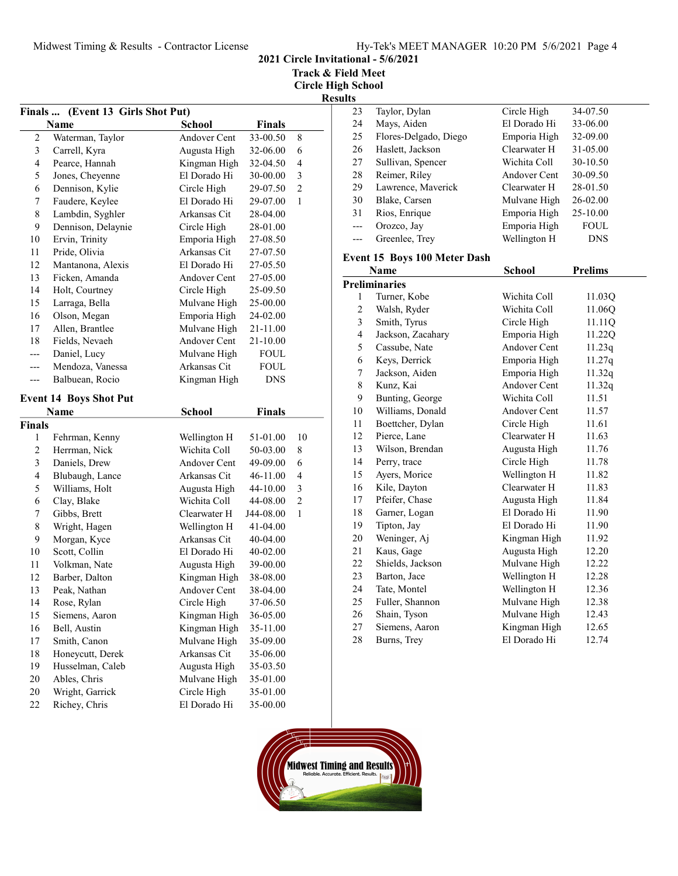2021 Circle Invitational - 5/6/2021

Track & Field Meet

| Finals                  | (Event 13 Girls Shot Put)            |                              |                       |                     |
|-------------------------|--------------------------------------|------------------------------|-----------------------|---------------------|
|                         | Name                                 | <b>School</b>                | <b>Finals</b>         |                     |
| $\sqrt{2}$              | Waterman, Taylor                     | <b>Andover Cent</b>          | 33-00.50              | 8                   |
| $\mathfrak{Z}$          | Carrell, Kyra                        | Augusta High                 | 32-06.00              | 6                   |
| $\overline{\mathbf{4}}$ | Pearce, Hannah                       | Kingman High                 | 32-04.50              | 4                   |
| 5                       | Jones, Cheyenne                      | El Dorado Hi                 | 30-00.00              | 3                   |
| 6                       | Dennison, Kylie                      | Circle High                  | 29-07.50              | $\overline{c}$      |
| 7                       | Faudere, Keylee                      | El Dorado Hi                 | 29-07.00              | 1                   |
| $\,$ $\,$               | Lambdin, Syghler                     | Arkansas Cit                 | 28-04.00              |                     |
| 9                       | Dennison, Delaynie                   | Circle High                  | 28-01.00              |                     |
| 10                      | Ervin, Trinity                       | Emporia High                 | 27-08.50              |                     |
| 11                      | Pride, Olivia                        | Arkansas Cit                 | 27-07.50              |                     |
| 12                      | Mantanona, Alexis                    | El Dorado Hi                 | 27-05.50              |                     |
| 13                      | Ficken, Amanda                       | Andover Cent                 | 27-05.00              |                     |
| 14                      | Holt, Courtney                       | Circle High                  | 25-09.50              |                     |
| 15                      | Larraga, Bella                       | Mulvane High                 | 25-00.00              |                     |
| 16                      | Olson, Megan                         | Emporia High                 | 24-02.00              |                     |
| 17                      | Allen, Brantlee                      | Mulvane High                 | 21-11.00              |                     |
| 18                      | Fields, Nevaeh                       | <b>Andover Cent</b>          | 21-10.00              |                     |
| ---                     | Daniel, Lucy                         | Mulvane High                 | FOUL                  |                     |
| ---                     | Mendoza, Vanessa                     | Arkansas Cit                 | <b>FOUL</b>           |                     |
| ---                     | Balbuean, Rocio                      | Kingman High                 | <b>DNS</b>            |                     |
|                         | <b>Event 14 Boys Shot Put</b>        |                              |                       |                     |
|                         |                                      |                              |                       |                     |
|                         | Name                                 | <b>School</b>                | <b>Finals</b>         |                     |
| <b>Finals</b>           |                                      |                              | 51-01.00              | 10                  |
| 1<br>$\overline{c}$     | Fehrman, Kenny                       | Wellington H<br>Wichita Coll | 50-03.00              | 8                   |
| 3                       | Herrman, Nick<br>Daniels, Drew       | Andover Cent                 |                       | 6                   |
|                         |                                      | Arkansas Cit                 | 49-09.00              |                     |
| 4                       | Blubaugh, Lance                      |                              | 46-11.00              | 4                   |
| 5                       | Williams, Holt                       | Augusta High<br>Wichita Coll | 44-10.00              | 3<br>$\overline{c}$ |
| 6<br>7                  | Clay, Blake                          | Clearwater H                 | 44-08.00<br>J44-08.00 | 1                   |
|                         | Gibbs, Brett                         |                              |                       |                     |
| 8<br>9                  | Wright, Hagen<br>Morgan, Kyce        | Wellington H<br>Arkansas Cit | 41-04.00<br>40-04.00  |                     |
|                         |                                      | El Dorado Hi                 |                       |                     |
| 10                      | Scott, Collin                        |                              | 40-02.00              |                     |
| 11<br>12                | Volkman, Nate                        | Augusta High<br>Kingman High | 39-00.00              |                     |
| 13                      | Barber, Dalton                       | <b>Andover Cent</b>          | 38-08.00              |                     |
|                         | Peak, Nathan                         |                              | 38-04.00              |                     |
| 14                      | Rose, Rylan                          | Circle High                  | 37-06.50              |                     |
| 15                      | Siemens, Aaron<br>Bell, Austin       | Kingman High                 | 36-05.00              |                     |
| 16                      |                                      | Kingman High                 | 35-11.00              |                     |
| 17                      | Smith, Canon                         | Mulvane High                 | 35-09.00              |                     |
| 18                      | Honeycutt, Derek<br>Husselman, Caleb | Arkansas Cit<br>Augusta High | 35-06.00              |                     |
| 19<br>$20\,$            | Ables, Chris                         |                              | 35-03.50              |                     |
|                         | Wright, Garrick                      | Mulvane High<br>Circle High  | 35-01.00              |                     |
| 20                      | Richey, Chris                        |                              | 35-01.00              |                     |
| 22                      |                                      | El Dorado Hi                 | 35-00.00              |                     |

| ılts |                              |              |              |
|------|------------------------------|--------------|--------------|
| 23   | Taylor, Dylan                | Circle High  | 34-07.50     |
| 24   | Mays, Aiden                  | El Dorado Hi | 33-06.00     |
| 25   | Flores-Delgado, Diego        | Emporia High | 32-09.00     |
| 26   | Haslett, Jackson             | Clearwater H | 31-05.00     |
| 27   | Sullivan, Spencer            | Wichita Coll | 30-10.50     |
| 28   | Reimer, Riley                | Andover Cent | 30-09.50     |
| 29   | Lawrence, Maverick           | Clearwater H | 28-01.50     |
| 30   | Blake, Carsen                | Mulvane High | $26 - 02.00$ |
| 31   | Rios, Enrique                | Emporia High | 25-10.00     |
| ---  | Orozco, Jay                  | Emporia High | <b>FOUL</b>  |
|      | Greenlee, Trey               | Wellington H | <b>DNS</b>   |
|      | Event 15 Boys 100 Meter Dash |              |              |
|      | Name                         | School       | Prelime      |

|                | Name                 | School       | <b>Prelims</b> |
|----------------|----------------------|--------------|----------------|
|                | <b>Preliminaries</b> |              |                |
| 1              | Turner, Kobe         | Wichita Coll | 11.03Q         |
| 2              | Walsh, Ryder         | Wichita Coll | 11.06Q         |
| 3              | Smith, Tyrus         | Circle High  | 11.11Q         |
| $\overline{4}$ | Jackson, Zacahary    | Emporia High | 11.22Q         |
| 5              | Cassube, Nate        | Andover Cent | 11.23q         |
| 6              | Keys, Derrick        | Emporia High | 11.27q         |
| 7              | Jackson, Aiden       | Emporia High | 11.32q         |
| 8              | Kunz, Kai            | Andover Cent | 11.32q         |
| 9              | Bunting, George      | Wichita Coll | 11.51          |
| 10             | Williams, Donald     | Andover Cent | 11.57          |
| 11             | Boettcher, Dylan     | Circle High  | 11.61          |
| 12             | Pierce, Lane         | Clearwater H | 11.63          |
| 13             | Wilson, Brendan      | Augusta High | 11.76          |
| 14             | Perry, trace         | Circle High  | 11.78          |
| 15             | Ayers, Morice        | Wellington H | 11.82          |
| 16             | Kile, Dayton         | Clearwater H | 11.83          |
| 17             | Pfeifer, Chase       | Augusta High | 11.84          |
| 18             | Garner, Logan        | El Dorado Hi | 11.90          |
| 19             | Tipton, Jay          | El Dorado Hi | 11.90          |
| 20             | Weninger, Aj         | Kingman High | 11.92          |
| 21             | Kaus, Gage           | Augusta High | 12.20          |
| 22             | Shields, Jackson     | Mulvane High | 12.22          |
| 23             | Barton, Jace         | Wellington H | 12.28          |
| 24             | Tate, Montel         | Wellington H | 12.36          |
| 25             | Fuller, Shannon      | Mulvane High | 12.38          |
| 26             | Shain, Tyson         | Mulvane High | 12.43          |
| 27             | Siemens, Aaron       | Kingman High | 12.65          |
| 28             | Burns, Trey          | El Dorado Hi | 12.74          |

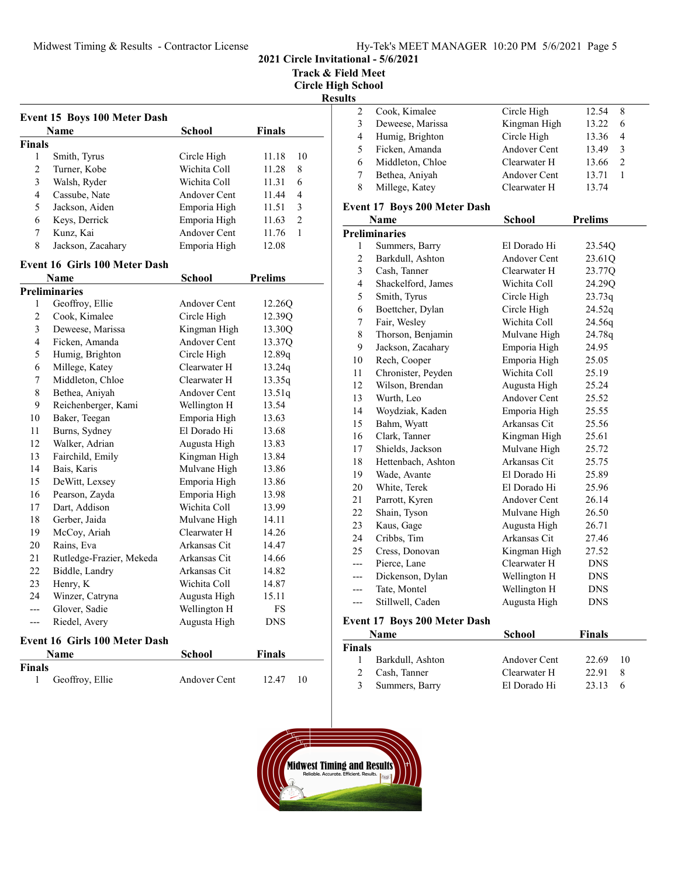Track & Field Meet

Circle High School

# sults

|   | Cook, Kimalee    | Circle High  | 12.54 | 8              |  |
|---|------------------|--------------|-------|----------------|--|
|   | Deweese, Marissa | Kingman High | 13.22 | 6              |  |
| 4 | Humig, Brighton  | Circle High  | 13.36 | $\overline{4}$ |  |
|   | Ficken, Amanda   | Andover Cent | 13.49 | 3              |  |
| 6 | Middleton, Chloe | Clearwater H | 13.66 |                |  |
|   | Bethea, Aniyah   | Andover Cent | 13.71 |                |  |
|   | Millege, Katey   | Clearwater H | 13.74 |                |  |
|   |                  |              |       |                |  |

# Event 17 Boys 200 Meter Dash

|                | Name                 | School              | <b>Prelims</b> |
|----------------|----------------------|---------------------|----------------|
|                | <b>Preliminaries</b> |                     |                |
| 1              | Summers, Barry       | El Dorado Hi        | 23.54Q         |
| $\overline{c}$ | Barkdull, Ashton     | Andover Cent        | 23.610         |
| 3              | Cash, Tanner         | Clearwater H        | 23.77Q         |
| $\overline{4}$ | Shackelford, James   | Wichita Coll        | 24.29Q         |
| 5              | Smith, Tyrus         | Circle High         | 23.73q         |
| 6              | Boettcher, Dylan     | Circle High         | 24.52q         |
| 7              | Fair, Wesley         | Wichita Coll        | 24.56q         |
| 8              | Thorson, Benjamin    | Mulvane High        | 24.78q         |
| 9              | Jackson, Zacahary    | Emporia High        | 24.95          |
| 10             | Rech, Cooper         | Emporia High        | 25.05          |
| 11             | Chronister, Peyden   | Wichita Coll        | 25.19          |
| 12             | Wilson, Brendan      | Augusta High        | 25.24          |
| 13             | Wurth, Leo           | <b>Andover Cent</b> | 25.52          |
| 14             | Woydziak, Kaden      | Emporia High        | 25.55          |
| 15             | Bahm, Wyatt          | Arkansas Cit        | 25.56          |
| 16             | Clark, Tanner        | Kingman High        | 25.61          |
| 17             | Shields, Jackson     | Mulvane High        | 25.72          |
| 18             | Hettenbach, Ashton   | Arkansas Cit        | 25.75          |
| 19             | Wade, Avante         | El Dorado Hi        | 25.89          |
| 20             | White, Terek         | El Dorado Hi        | 25.96          |
| 21             | Parrott, Kyren       | Andover Cent        | 26.14          |
| 22             | Shain, Tyson         | Mulvane High        | 26.50          |
| 23             | Kaus, Gage           | Augusta High        | 26.71          |
| 24             | Cribbs, Tim          | Arkansas Cit        | 27.46          |
| 25             | Cress, Donovan       | Kingman High        | 27.52          |
| $---$          | Pierce, Lane         | Clearwater H        | <b>DNS</b>     |
| ---            | Dickenson, Dylan     | Wellington H        | <b>DNS</b>     |
| ---            | Tate, Montel         | Wellington H        | <b>DNS</b>     |
| ---            | Stillwell, Caden     | Augusta High        | DNS            |

# Event 17 Boys 200 Meter Dash

|               | <b>Name</b>      | School       | <b>Finals</b> |    |
|---------------|------------------|--------------|---------------|----|
| <b>Finals</b> |                  |              |               |    |
|               | Barkdull, Ashton | Andover Cent | 22.69         | 10 |
| $2^{\circ}$   | Cash, Tanner     | Clearwater H | 22.91         |    |
| 3             | Summers, Barry   | El Dorado Hi | 23.13         |    |



|                         |                                     |               |                | <b>Res</b>     |
|-------------------------|-------------------------------------|---------------|----------------|----------------|
|                         | <b>Event 15 Boys 100 Meter Dash</b> |               |                |                |
|                         | Name                                | <b>School</b> | <b>Finals</b>  |                |
| Finals                  |                                     |               |                |                |
| 1                       | Smith, Tyrus                        | Circle High   | 11.18          | 10             |
| $\overline{c}$          | Turner, Kobe                        | Wichita Coll  | 11.28          | 8              |
| 3                       | Walsh, Ryder                        | Wichita Coll  | 11.31          | 6              |
| $\overline{\mathbf{4}}$ | Cassube, Nate                       | Andover Cent  | 11.44          | 4              |
| 5                       | Jackson, Aiden                      | Emporia High  | 11.51          | 3              |
| 6                       | Keys, Derrick                       | Emporia High  | 11.63          | $\overline{2}$ |
| 7                       | Kunz, Kai                           | Andover Cent  | 11.76          | $\mathbf{1}$   |
| 8                       | Jackson, Zacahary                   | Emporia High  | 12.08          |                |
|                         | Event 16 Girls 100 Meter Dash       |               |                |                |
|                         | <b>Name</b>                         | <b>School</b> | <b>Prelims</b> |                |
|                         | <b>Preliminaries</b>                |               |                |                |
| $\mathbf{1}$            | Geoffroy, Ellie                     | Andover Cent  | 12.26Q         |                |
| $\overline{c}$          | Cook, Kimalee                       | Circle High   | 12.39Q         |                |
| 3                       | Deweese, Marissa                    | Kingman High  | 13.30Q         |                |
| $\overline{\mathbf{4}}$ | Ficken, Amanda                      | Andover Cent  | 13.37Q         |                |
| 5                       | Humig, Brighton                     | Circle High   | 12.89q         |                |
| 6                       | Millege, Katey                      | Clearwater H  | 13.24q         |                |
| $\overline{7}$          | Middleton, Chloe                    | Clearwater H  | 13.35q         |                |
| 8                       | Bethea, Aniyah                      | Andover Cent  | 13.51q         |                |
| 9                       | Reichenberger, Kami                 | Wellington H  | 13.54          |                |
| 10                      | Baker, Teegan                       | Emporia High  | 13.63          |                |
| 11                      | Burns, Sydney                       | El Dorado Hi  | 13.68          |                |
| 12                      | Walker, Adrian                      | Augusta High  | 13.83          |                |
| 13                      | Fairchild, Emily                    | Kingman High  | 13.84          |                |
| 14                      | Bais, Karis                         | Mulvane High  | 13.86          |                |
| 15                      | DeWitt, Lexsey                      | Emporia High  | 13.86          |                |
| 16                      | Pearson, Zayda                      | Emporia High  | 13.98          |                |
| 17                      | Dart, Addison                       | Wichita Coll  | 13.99          |                |
| 18                      | Gerber, Jaida                       | Mulvane High  | 14.11          |                |
| 19                      | McCoy, Ariah                        | Clearwater H  | 14.26          |                |
| 20                      | Rains, Eva                          | Arkansas Cit  | 14.47          |                |
| 21                      | Rutledge-Frazier, Mekeda            | Arkansas Cit  | 14.66          |                |
| 22                      | Biddle, Landry                      | Arkansas Cit  | 14.82          |                |
| 23                      | Henry, K                            | Wichita Coll  | 14.87          |                |
| 24                      | Winzer, Catryna                     | Augusta High  | 15.11          |                |
| $---$                   | Glover, Sadie                       | Wellington H  | <b>FS</b>      |                |
| $\overline{a}$          | Riedel, Avery                       | Augusta High  | <b>DNS</b>     |                |
|                         | Event 16 Girls 100 Meter Dash       |               |                |                |
|                         |                                     |               |                |                |

#### nt 16 Girls 100 Meter

|        | <b>Name</b>     | <b>School</b> | <b>Finals</b> |
|--------|-----------------|---------------|---------------|
| Finals |                 |               |               |
|        | Geoffroy, Ellie | Andover Cent  | 12.47<br>10   |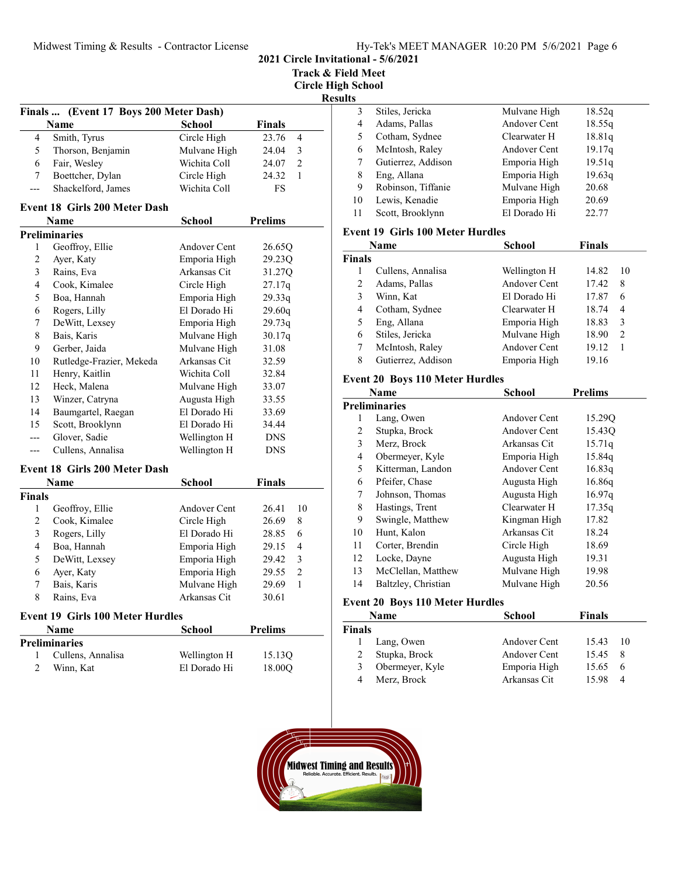2021 Circle Invitational - 5/6/2021

Track & Field Meet

Circle High School **esults** 

|                |                                         |               | R                       |
|----------------|-----------------------------------------|---------------|-------------------------|
|                | Finals  (Event 17 Boys 200 Meter Dash)  |               |                         |
|                | Name                                    | <b>School</b> | Finals                  |
| 4              | Smith, Tyrus                            | Circle High   | 23.76<br>4              |
| 5              | Thorson, Benjamin                       | Mulvane High  | 3<br>24.04              |
| 6              | Fair, Wesley                            | Wichita Coll  | $\overline{2}$<br>24.07 |
| 7              | Boettcher, Dylan                        | Circle High   | 24.32<br>1              |
| ---            | Shackelford, James                      | Wichita Coll  | FS                      |
|                | Event 18 Girls 200 Meter Dash           |               |                         |
|                | Name                                    | <b>School</b> | <b>Prelims</b>          |
|                | <b>Preliminaries</b>                    |               |                         |
| 1              | Geoffroy, Ellie                         | Andover Cent  | 26.65Q                  |
| $\overline{c}$ | Ayer, Katy                              | Emporia High  | 29.23Q                  |
| 3              | Rains, Eva                              | Arkansas Cit  | 31.27Q                  |
| 4              | Cook, Kimalee                           | Circle High   | 27.17q                  |
| 5              | Boa, Hannah                             | Emporia High  | 29.33q                  |
| 6              | Rogers, Lilly                           | El Dorado Hi  | 29.60q                  |
| 7              | DeWitt, Lexsey                          | Emporia High  | 29.73q                  |
| 8              | Bais, Karis                             | Mulvane High  | 30.17q                  |
| 9              | Gerber, Jaida                           | Mulvane High  | 31.08                   |
| 10             | Rutledge-Frazier, Mekeda                | Arkansas Cit  | 32.59                   |
| 11             | Henry, Kaitlin                          | Wichita Coll  | 32.84                   |
| 12             | Heck, Malena                            | Mulvane High  | 33.07                   |
| 13             | Winzer, Catryna                         | Augusta High  | 33.55                   |
| 14             | Baumgartel, Raegan                      | El Dorado Hi  | 33.69                   |
| 15             | Scott, Brooklynn                        | El Dorado Hi  | 34.44                   |
| $---$          | Glover, Sadie                           | Wellington H  | <b>DNS</b>              |
| ---            | Cullens, Annalisa                       | Wellington H  | <b>DNS</b>              |
|                | <b>Event 18 Girls 200 Meter Dash</b>    |               |                         |
|                | Name                                    | <b>School</b> | <b>Finals</b>           |
| Finals         |                                         |               |                         |
| 1              | Geoffroy, Ellie                         | Andover Cent  | 26.41<br>10             |
| 2              | Cook, Kimalee                           | Circle High   | 26.69<br>8              |
| 3              | Rogers, Lilly                           | El Dorado Hi  | 6<br>28.85              |
| $\overline{4}$ | Boa, Hannah                             | Emporia High  | 4<br>29.15              |
| 5              | DeWitt, Lexsey                          | Emporia High  | 3<br>29.42              |
| 6              | Ayer, Katy                              | Emporia High  | $\overline{c}$<br>29.55 |
| 7              | Bais, Karis                             | Mulvane High  | $\mathbf{1}$<br>29.69   |
| 8              | Rains, Eva                              | Arkansas Cit  | 30.61                   |
|                | <b>Event 19 Girls 100 Meter Hurdles</b> |               |                         |
|                | Name                                    | School        | <b>Prelims</b>          |
|                | <b>Preliminaries</b>                    |               |                         |
| 1              | Cullens, Annalisa                       | Wellington H  | 15.13Q                  |
| $\overline{c}$ | Winn, Kat                               | El Dorado Hi  | 18.00Q                  |
|                |                                         |               |                         |

| 3  | Stiles, Jericka    | Mulvane High | 18.52q |  |
|----|--------------------|--------------|--------|--|
| 4  | Adams, Pallas      | Andover Cent | 18.55q |  |
|    | Cotham, Sydnee     | Clearwater H | 18.81q |  |
| 6  | McIntosh, Raley    | Andover Cent | 19.17q |  |
|    | Gutierrez, Addison | Emporia High | 19.51q |  |
| 8  | Eng, Allana        | Emporia High | 19.63q |  |
| 9  | Robinson, Tiffanie | Mulvane High | 20.68  |  |
| 10 | Lewis, Kenadie     | Emporia High | 20.69  |  |
| 11 | Scott, Brooklynn   | El Dorado Hi | 22.77  |  |
|    |                    |              |        |  |

#### Event 19 Girls 100 Meter Hurdles

|               | Name               | School       | <b>Finals</b> |                |
|---------------|--------------------|--------------|---------------|----------------|
| <b>Finals</b> |                    |              |               |                |
|               | Cullens, Annalisa  | Wellington H | 14.82         | 10             |
| 2             | Adams, Pallas      | Andover Cent | 17.42         | 8              |
| 3             | Winn, Kat          | El Dorado Hi | 17.87         | 6              |
| 4             | Cotham, Sydnee     | Clearwater H | 18.74         | $\overline{4}$ |
| 5             | Eng, Allana        | Emporia High | 18.83         | 3              |
| 6             | Stiles, Jericka    | Mulvane High | 18.90         | $\mathcal{L}$  |
|               | McIntosh, Raley    | Andover Cent | 19.12         |                |
| 8             | Gutierrez, Addison | Emporia High | 19.16         |                |

# Event 20 Boys 110 Meter Hurdles

|    | Name                 | <b>School</b> | <b>Prelims</b> |
|----|----------------------|---------------|----------------|
|    | <b>Preliminaries</b> |               |                |
| 1  | Lang, Owen           | Andover Cent  | 15.29Q         |
| 2  | Stupka, Brock        | Andover Cent  | 15.43Q         |
| 3  | Merz, Brock          | Arkansas Cit  | 15.71q         |
| 4  | Obermeyer, Kyle      | Emporia High  | 15.84q         |
| 5  | Kitterman, Landon    | Andover Cent  | 16.83q         |
| 6  | Pfeifer, Chase       | Augusta High  | 16.86q         |
| 7  | Johnson, Thomas      | Augusta High  | 16.97q         |
| 8  | Hastings, Trent      | Clearwater H  | 17.35q         |
| 9  | Swingle, Matthew     | Kingman High  | 17.82          |
| 10 | Hunt, Kalon          | Arkansas Cit  | 18.24          |
| 11 | Corter, Brendin      | Circle High   | 18.69          |
| 12 | Locke, Dayne         | Augusta High  | 19.31          |
| 13 | McClellan, Matthew   | Mulvane High  | 19.98          |
| 14 | Baltzley, Christian  | Mulvane High  | 20.56          |

# Event 20 Boys 110 Meter Hurdles

|        | Name            | School       | Finals |          |
|--------|-----------------|--------------|--------|----------|
| Finals |                 |              |        |          |
|        | Lang, Owen      | Andover Cent | 15.43  | 10       |
| 2      | Stupka, Brock   | Andover Cent | 15.45  |          |
| 3      | Obermeyer, Kyle | Emporia High | 15.65  | 6        |
| 4      | Merz, Brock     | Arkansas Cit | 15.98  | $\Delta$ |

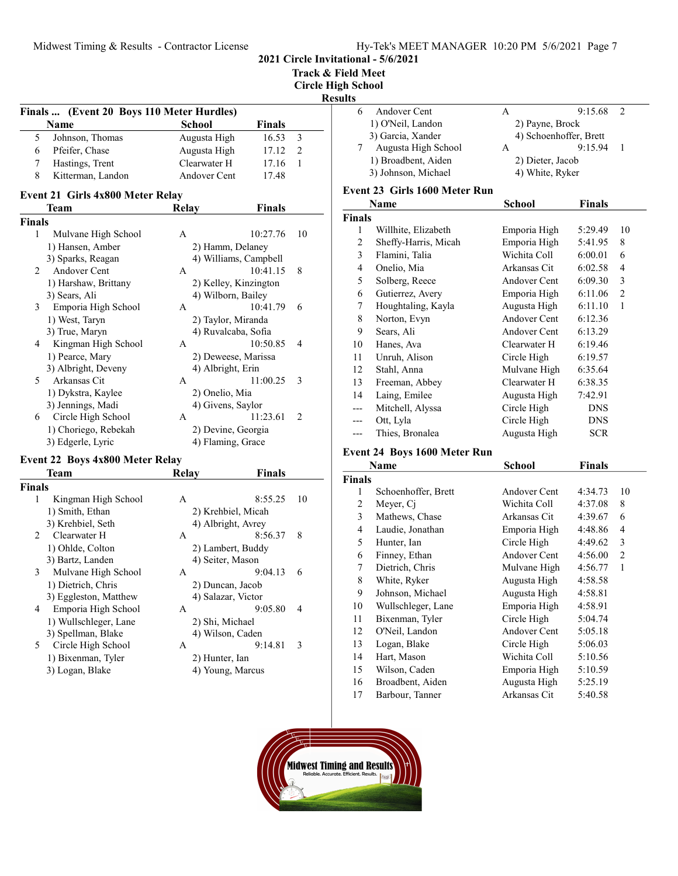Track & Field Meet

Circle High School

# Results

|                | Finals  (Event 20 Boys 110 Meter Hurdles) |                     |                       |    |
|----------------|-------------------------------------------|---------------------|-----------------------|----|
|                | <b>Name</b>                               | School              | <b>Finals</b>         |    |
| 5              | Johnson, Thomas                           | Augusta High        | 16.53                 | 3  |
| 6              | Pfeifer, Chase                            | Augusta High        | 17.12                 | 2  |
| 7              | Hastings, Trent                           | Clearwater H        | 17.16                 | 1  |
| 8              | Kitterman, Landon                         | Andover Cent        | 17.48                 |    |
|                | <b>Event 21 Girls 4x800 Meter Relay</b>   |                     |                       |    |
|                | Team                                      | Relay               | <b>Finals</b>         |    |
| Finals         |                                           |                     |                       |    |
| 1              | Mulvane High School                       | A                   | 10:27.76              | 10 |
|                | 1) Hansen, Amber                          | 2) Hamm, Delaney    |                       |    |
|                | 3) Sparks, Reagan                         |                     | 4) Williams, Campbell |    |
| $\overline{2}$ | Andover Cent                              | A                   | 10:41.15              | 8  |
|                | 1) Harshaw, Brittany                      |                     | 2) Kelley, Kinzington |    |
|                | 3) Sears, Ali                             | 4) Wilborn, Bailey  |                       |    |
| 3              | Emporia High School                       | A                   | 10:41.79              | 6  |
|                | 1) West, Taryn                            | 2) Taylor, Miranda  |                       |    |
|                | 3) True, Maryn                            | 4) Ruvalcaba, Sofia |                       |    |
| 4              | Kingman High School                       | A                   | 10:50.85              | 4  |
|                | 1) Pearce, Mary                           | 2) Deweese, Marissa |                       |    |
|                | 3) Albright, Deveny                       | 4) Albright, Erin   |                       |    |
| 5              | Arkansas Cit                              | А                   | 11:00.25              | 3  |
|                | 1) Dykstra, Kaylee                        | 2) Onelio, Mia      |                       |    |
|                | 3) Jennings, Madi                         | 4) Givens, Saylor   |                       |    |
| 6              | Circle High School                        | A                   | 11:23.61              | 2  |
|                | 1) Choriego, Rebekah                      | 2) Devine, Georgia  |                       |    |
|                | 3) Edgerle, Lyric                         | 4) Flaming, Grace   |                       |    |

#### Event 22 Boys 4x800 Meter Relay

| Team                  | Relay              | Finals  |                                                                                                                                                                                                          |
|-----------------------|--------------------|---------|----------------------------------------------------------------------------------------------------------------------------------------------------------------------------------------------------------|
|                       |                    |         |                                                                                                                                                                                                          |
| Kingman High School   | A                  | 8:55.25 | 10                                                                                                                                                                                                       |
| 1) Smith, Ethan       |                    |         |                                                                                                                                                                                                          |
| 3) Krehbiel, Seth     |                    |         |                                                                                                                                                                                                          |
| Clearwater H          | A                  | 8:56.37 | 8                                                                                                                                                                                                        |
| 1) Ohlde, Colton      |                    |         |                                                                                                                                                                                                          |
| 3) Bartz, Landen      |                    |         |                                                                                                                                                                                                          |
| Mulvane High School   | A                  | 9:04.13 | 6                                                                                                                                                                                                        |
| 1) Dietrich, Chris    |                    |         |                                                                                                                                                                                                          |
| 3) Eggleston, Matthew |                    |         |                                                                                                                                                                                                          |
| Emporia High School   | A                  | 9:05.80 | 4                                                                                                                                                                                                        |
| 1) Wullschleger, Lane |                    |         |                                                                                                                                                                                                          |
| 3) Spellman, Blake    |                    |         |                                                                                                                                                                                                          |
| Circle High School    | A                  | 9:14.81 | 3                                                                                                                                                                                                        |
| 1) Bixenman, Tyler    |                    |         |                                                                                                                                                                                                          |
| 3) Logan, Blake       |                    |         |                                                                                                                                                                                                          |
|                       | <b>Finals</b><br>3 |         | 2) Krehbiel, Micah<br>4) Albright, Avrey<br>2) Lambert, Buddy<br>4) Seiter, Mason<br>2) Duncan, Jacob<br>4) Salazar, Victor<br>2) Shi, Michael<br>4) Wilson, Caden<br>2) Hunter, Ian<br>4) Young, Marcus |

| Andover Cent        |                  | 9:15.68                |  |
|---------------------|------------------|------------------------|--|
| 1) O'Neil, Landon   | 2) Payne, Brock  |                        |  |
| 3) Garcia, Xander   |                  | 4) Schoenhoffer, Brett |  |
| Augusta High School |                  | 9:15.94                |  |
| 1) Broadbent, Aiden | 2) Dieter, Jacob |                        |  |
| 3) Johnson, Michael | 4) White, Ryker  |                        |  |
|                     |                  |                        |  |

## Event 23 Girls 1600 Meter Run

|               | Name                 | School       | <b>Finals</b> |    |
|---------------|----------------------|--------------|---------------|----|
| <b>Finals</b> |                      |              |               |    |
| 1             | Willhite, Elizabeth  | Emporia High | 5:29.49       | 10 |
| 2             | Sheffy-Harris, Micah | Emporia High | 5:41.95       | 8  |
| 3             | Flamini, Talia       | Wichita Coll | 6:00.01       | 6  |
| 4             | Onelio, Mia          | Arkansas Cit | 6:02.58       | 4  |
| 5             | Solberg, Reece       | Andover Cent | 6:09.30       | 3  |
| 6             | Gutierrez, Avery     | Emporia High | 6:11.06       | 2  |
| 7             | Houghtaling, Kayla   | Augusta High | 6:11.10       | 1  |
| 8             | Norton, Evyn         | Andover Cent | 6:12.36       |    |
| 9             | Sears, Ali           | Andover Cent | 6:13.29       |    |
| 10            | Hanes, Ava           | Clearwater H | 6:19.46       |    |
| 11            | Unruh, Alison        | Circle High  | 6:19.57       |    |
| 12            | Stahl, Anna          | Mulvane High | 6:35.64       |    |
| 13            | Freeman, Abbey       | Clearwater H | 6:38.35       |    |
| 14            | Laing, Emilee        | Augusta High | 7:42.91       |    |
| ---           | Mitchell, Alyssa     | Circle High  | <b>DNS</b>    |    |
| ---           | Ott, Lyla            | Circle High  | <b>DNS</b>    |    |
|               | Thies, Bronalea      | Augusta High | <b>SCR</b>    |    |

#### Event 24 Boys 1600 Meter Run

|                | Name                | School       | <b>Finals</b> |    |
|----------------|---------------------|--------------|---------------|----|
| <b>Finals</b>  |                     |              |               |    |
| 1              | Schoenhoffer, Brett | Andover Cent | 4:34.73       | 10 |
| 2              | Meyer, Ci           | Wichita Coll | 4:37.08       | 8  |
| 3              | Mathews, Chase      | Arkansas Cit | 4:39.67       | 6  |
| $\overline{4}$ | Laudie, Jonathan    | Emporia High | 4:48.86       | 4  |
| 5              | Hunter, Ian         | Circle High  | 4:49.62       | 3  |
| 6              | Finney, Ethan       | Andover Cent | 4:56.00       | 2  |
| 7              | Dietrich, Chris     | Mulvane High | 4:56.77       | 1  |
| 8              | White, Ryker        | Augusta High | 4:58.58       |    |
| 9              | Johnson, Michael    | Augusta High | 4:58.81       |    |
| 10             | Wullschleger, Lane  | Emporia High | 4:58.91       |    |
| 11             | Bixenman, Tyler     | Circle High  | 5:04.74       |    |
| 12             | O'Neil, Landon      | Andover Cent | 5:05.18       |    |
| 13             | Logan, Blake        | Circle High  | 5:06.03       |    |
| 14             | Hart, Mason         | Wichita Coll | 5:10.56       |    |
| 15             | Wilson, Caden       | Emporia High | 5:10.59       |    |
| 16             | Broadbent, Aiden    | Augusta High | 5:25.19       |    |
| 17             | Barbour, Tanner     | Arkansas Cit | 5:40.58       |    |

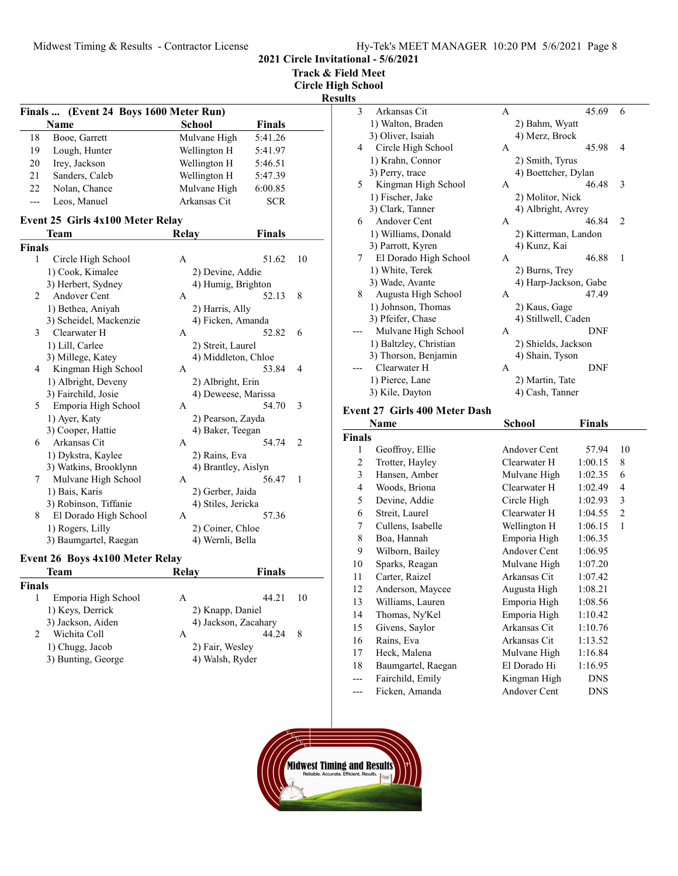2021 Circle Invitational - 5/6/2021

Track & Field Meet Circle High School

Results

|     | Finals  (Event 24 Boys 1600 Meter Run) |              |               |  |
|-----|----------------------------------------|--------------|---------------|--|
|     | Name                                   | School       | Finals        |  |
| 18  | Booe, Garrett                          | Mulvane High | 5:41.26       |  |
| 19  | Lough, Hunter                          | Wellington H | 5:41.97       |  |
| 20  | Irey, Jackson                          | Wellington H | 5:46.51       |  |
| 21  | Sanders, Caleb                         | Wellington H | 5:47.39       |  |
| 22  | Nolan, Chance                          | Mulvane High | 6:00.85       |  |
| --- | Leos, Manuel                           | Arkansas Cit | <b>SCR</b>    |  |
|     | Event 25 Girls 4x100 Meter Relay       |              |               |  |
|     | <b>Team</b>                            | Relav        | <b>Finals</b> |  |

| Finals |                        |              |                     |                |
|--------|------------------------|--------------|---------------------|----------------|
| 1      | Circle High School     | A            | 51.62               | 10             |
|        | 1) Cook, Kimalee       |              | 2) Devine, Addie    |                |
|        | 3) Herbert, Sydney     |              | 4) Humig, Brighton  |                |
| 2      | Andover Cent           | $\mathsf{A}$ | 52.13               | 8              |
|        | 1) Bethea, Aniyah      |              | 2) Harris, Ally     |                |
|        | 3) Scheidel, Mackenzie |              | 4) Ficken, Amanda   |                |
| 3      | Clearwater H           | $\mathsf{A}$ | 52.82               | 6              |
|        | 1) Lill, Carlee        |              | 2) Streit, Laurel   |                |
|        | 3) Millege, Katey      |              | 4) Middleton, Chloe |                |
| 4      | Kingman High School    | $\mathsf{A}$ | 53.84               | $\overline{4}$ |
|        | 1) Albright, Deveny    |              | 2) Albright, Erin   |                |
|        | 3) Fairchild, Josie    |              | 4) Deweese, Marissa |                |
| 5      | Emporia High School    | A            | 54.70               | 3              |
|        | 1) Ayer, Katy          |              | 2) Pearson, Zayda   |                |
|        | 3) Cooper, Hattie      |              | 4) Baker, Teegan    |                |
| 6      | Arkansas Cit           | $\mathsf{A}$ | 54.74               | $\overline{c}$ |
|        | 1) Dykstra, Kaylee     |              | 2) Rains, Eva       |                |
|        | 3) Watkins, Brooklynn  |              | 4) Brantley, Aislyn |                |
| 7      | Mulvane High School    | A            | 56.47               | $\mathbf{1}$   |
|        | 1) Bais, Karis         |              | 2) Gerber, Jaida    |                |
|        | 3) Robinson, Tiffanie  |              | 4) Stiles, Jericka  |                |
| 8      | El Dorado High School  | A            | 57.36               |                |
|        | 1) Rogers, Lilly       |              | 2) Coiner, Chloe    |                |
|        | 3) Baumgartel, Raegan  |              | 4) Wernli, Bella    |                |
|        |                        |              |                     |                |

# Event 26 Boys 4x100 Meter Relay

| Team                | Relay | Finals |                                                                                |
|---------------------|-------|--------|--------------------------------------------------------------------------------|
| Finals              |       |        |                                                                                |
| Emporia High School | A     | 44.21  | 10                                                                             |
| 1) Keys, Derrick    |       |        |                                                                                |
| 3) Jackson, Aiden   |       |        |                                                                                |
| Wichita Coll        | A     | 44.24  | 8                                                                              |
| 1) Chugg, Jacob     |       |        |                                                                                |
| 3) Bunting, George  |       |        |                                                                                |
|                     |       |        | 2) Knapp, Daniel<br>4) Jackson, Zacahary<br>2) Fair, Wesley<br>4) Walsh, Ryder |

| τs |                        |   |                       |                |
|----|------------------------|---|-----------------------|----------------|
| 3  | Arkansas Cit           | A | 45.69                 | 6              |
|    | 1) Walton, Braden      |   | 2) Bahm, Wyatt        |                |
|    | 3) Oliver, Isaiah      |   | 4) Merz, Brock        |                |
| 4  | Circle High School     | A | 45.98                 | 4              |
|    | 1) Krahn, Connor       |   | 2) Smith, Tyrus       |                |
|    | 3) Perry, trace        |   | 4) Boettcher, Dylan   |                |
| 5  | Kingman High School    | A | 46.48                 | 3              |
|    | 1) Fischer, Jake       |   | 2) Molitor, Nick      |                |
|    | 3) Clark, Tanner       |   | 4) Albright, Avrey    |                |
| 6  | Andover Cent           | A | 46.84                 | $\overline{2}$ |
|    | 1) Williams, Donald    |   | 2) Kitterman, Landon  |                |
|    | 3) Parrott, Kyren      |   | 4) Kunz, Kai          |                |
| 7  | El Dorado High School  | A | 46.88                 | 1              |
|    | 1) White, Terek        |   | 2) Burns, Trey        |                |
|    | 3) Wade, Avante        |   | 4) Harp-Jackson, Gabe |                |
| 8  | Augusta High School    | A | 47.49                 |                |
|    | 1) Johnson, Thomas     |   | 2) Kaus, Gage         |                |
|    | 3) Pfeifer, Chase      |   | 4) Stillwell, Caden   |                |
|    | Mulvane High School    | A | DNF                   |                |
|    | 1) Baltzley, Christian |   | 2) Shields, Jackson   |                |
|    | 3) Thorson, Benjamin   |   | 4) Shain, Tyson       |                |
|    | Clearwater H           | A | DNF                   |                |
|    | 1) Pierce, Lane        |   | 2) Martin, Tate       |                |
|    | 3) Kile, Dayton        |   | 4) Cash, Tanner       |                |
|    |                        |   |                       |                |

### Event 27 Girls 400 Meter Dash

|                | Name               | School              | <b>Finals</b> |                |
|----------------|--------------------|---------------------|---------------|----------------|
| <b>Finals</b>  |                    |                     |               |                |
| 1              | Geoffroy, Ellie    | Andover Cent        | 57.94         | 10             |
| $\overline{c}$ | Trotter, Hayley    | Clearwater H        | 1:00.15       | 8              |
| 3              | Hansen, Amber      | Mulvane High        | 1:02.35       | 6              |
| $\overline{4}$ | Woods, Briona      | Clearwater H        | 1:02.49       | $\overline{4}$ |
| 5              | Devine, Addie      | Circle High         | 1:02.93       | 3              |
| 6              | Streit, Laurel     | Clearwater H        | 1:04.55       | $\overline{2}$ |
| 7              | Cullens, Isabelle  | Wellington H        | 1:06.15       | 1              |
| 8              | Boa, Hannah        | Emporia High        | 1:06.35       |                |
| 9              | Wilborn, Bailey    | Andover Cent        | 1:06.95       |                |
| 10             | Sparks, Reagan     | Mulvane High        | 1:07.20       |                |
| 11             | Carter, Raizel     | Arkansas Cit        | 1:07.42       |                |
| 12             | Anderson, Maycee   | Augusta High        | 1:08.21       |                |
| 13             | Williams, Lauren   | Emporia High        | 1:08.56       |                |
| 14             | Thomas, Ny'Kel     | Emporia High        | 1:10.42       |                |
| 15             | Givens, Saylor     | Arkansas Cit        | 1:10.76       |                |
| 16             | Rains, Eva         | Arkansas Cit        | 1:13.52       |                |
| 17             | Heck, Malena       | Mulvane High        | 1:16.84       |                |
| 18             | Baumgartel, Raegan | El Dorado Hi        | 1:16.95       |                |
|                | Fairchild, Emily   | Kingman High        | <b>DNS</b>    |                |
| ---            | Ficken, Amanda     | <b>Andover Cent</b> | <b>DNS</b>    |                |

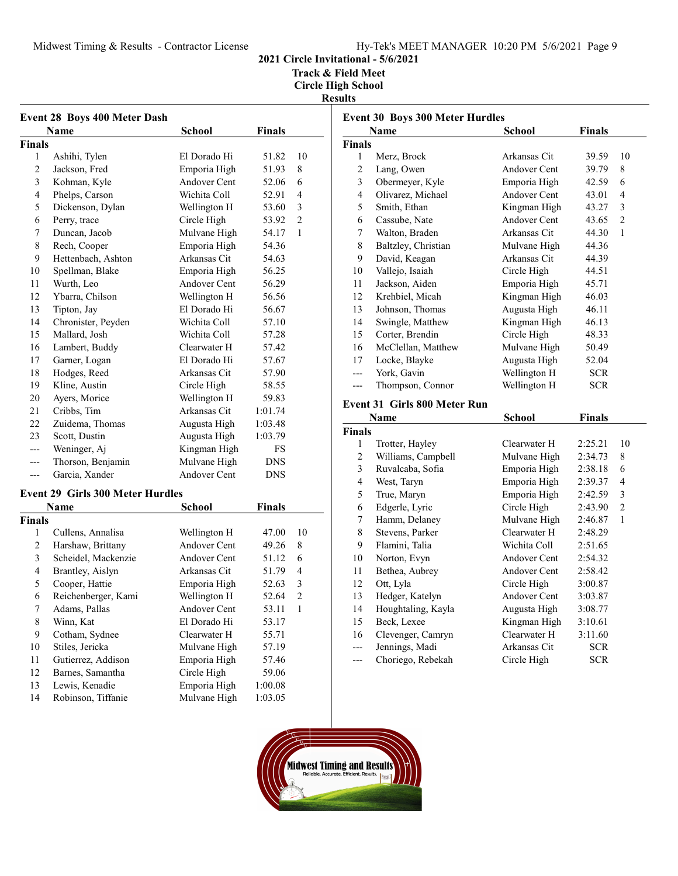Midwest Timing & Results - Contractor License

2021 Circle Invitational - 5/6/2021

Track & Field Meet Circle High School

Results

| <b>Event 28 Boys 400 Meter Dash</b> |                                         |                     |               |                |  |
|-------------------------------------|-----------------------------------------|---------------------|---------------|----------------|--|
|                                     | Name                                    | School              | Finals        |                |  |
| <b>Finals</b>                       |                                         |                     |               |                |  |
| 1                                   | Ashihi, Tylen                           | El Dorado Hi        | 51.82         | 10             |  |
| 2                                   | Jackson, Fred                           | Emporia High        | 51.93         | 8              |  |
| 3                                   | Kohman, Kyle                            | <b>Andover Cent</b> | 52.06         | 6              |  |
| $\overline{\mathbf{4}}$             | Phelps, Carson                          | Wichita Coll        | 52.91         | 4              |  |
| 5                                   | Dickenson, Dylan                        | Wellington H        | 53.60         | 3              |  |
| 6                                   | Perry, trace                            | Circle High         | 53.92         | $\overline{2}$ |  |
| 7                                   | Duncan, Jacob                           | Mulvane High        | 54.17         | $\mathbf{1}$   |  |
| 8                                   | Rech, Cooper                            | Emporia High        | 54.36         |                |  |
| 9                                   | Hettenbach, Ashton                      | Arkansas Cit        | 54.63         |                |  |
| 10                                  | Spellman, Blake                         | Emporia High        | 56.25         |                |  |
| 11                                  | Wurth, Leo                              | <b>Andover Cent</b> | 56.29         |                |  |
| 12                                  | Ybarra, Chilson                         | Wellington H        | 56.56         |                |  |
| 13                                  | Tipton, Jay                             | El Dorado Hi        | 56.67         |                |  |
| 14                                  | Chronister, Peyden                      | Wichita Coll        | 57.10         |                |  |
| 15                                  | Mallard, Josh                           | Wichita Coll        | 57.28         |                |  |
| 16                                  | Lambert, Buddy                          | Clearwater H        | 57.42         |                |  |
| 17                                  | Garner, Logan                           | El Dorado Hi        | 57.67         |                |  |
| 18                                  | Hodges, Reed                            | Arkansas Cit        | 57.90         |                |  |
| 19                                  | Kline, Austin                           | Circle High         | 58.55         |                |  |
| 20                                  | Ayers, Morice                           | Wellington H        | 59.83         |                |  |
| 21                                  | Cribbs, Tim                             | Arkansas Cit        | 1:01.74       |                |  |
| 22                                  | Zuidema, Thomas                         | Augusta High        | 1:03.48       |                |  |
| 23                                  | Scott, Dustin                           | Augusta High        | 1:03.79       |                |  |
| ---                                 | Weninger, Aj                            | Kingman High        | FS            |                |  |
| ---                                 | Thorson, Benjamin                       | Mulvane High        | <b>DNS</b>    |                |  |
| ---                                 | Garcia, Xander                          | Andover Cent        | <b>DNS</b>    |                |  |
|                                     | <b>Event 29 Girls 300 Meter Hurdles</b> |                     |               |                |  |
|                                     | Name                                    | <b>School</b>       | <b>Finals</b> |                |  |
| <b>Finals</b>                       |                                         |                     |               |                |  |
| 1                                   | Cullens, Annalisa                       | Wellington H        | 47.00         | 10             |  |
| 2                                   | Harshaw, Brittany                       | Andover Cent        | 49.26         | 8              |  |
| 3                                   | Scheidel, Mackenzie                     | Andover Cent        | 51.12         | 6              |  |
| 4                                   | Brantley, Aislyn                        | Arkansas Cit        | 51.79         | 4              |  |
| 5                                   | Cooper, Hattie                          | Emporia High        | 52.63         | 3              |  |
| 6                                   | Reichenberger, Kami                     | Wellington H        | 52.64         | $\overline{c}$ |  |
| 7                                   | Adams, Pallas                           | Andover Cent        | 53.11         | 1              |  |
| 8                                   | Winn, Kat                               | El Dorado Hi        | 53.17         |                |  |
| 9                                   | Cotham, Sydnee                          | Clearwater H        | 55.71         |                |  |
| 10                                  | Stiles, Jericka                         | Mulvane High        | 57.19         |                |  |
| 11                                  | Gutierrez, Addison                      | Emporia High        | 57.46         |                |  |

12 59.06 Barnes, Samantha Circle High 13 Lewis, Kenadie Emporia High 1:00.08<br>14 Robinson, Tiffanie Mulvane High 1:03.05 14 Robinson, Tiffanie Mulvane High 1:03.05

|                          | <b>Event 30 Boys 300 Meter Hurdles</b> |              |            |                |
|--------------------------|----------------------------------------|--------------|------------|----------------|
| Finals<br>Name<br>School |                                        |              |            |                |
| <b>Finals</b>            |                                        |              |            |                |
| $\mathbf{1}$             | Merz, Brock                            | Arkansas Cit | 39.59      | 10             |
| 2                        | Lang, Owen                             | Andover Cent | 39.79      | 8              |
| 3                        | Obermeyer, Kyle                        | Emporia High | 42.59      | 6              |
| 4                        | Olivarez, Michael                      | Andover Cent | 43.01      | 4              |
| 5                        | Smith, Ethan                           | Kingman High | 43.27      | 3              |
| 6                        | Cassube, Nate                          | Andover Cent | 43.65      | 2              |
| 7                        | Walton, Braden                         | Arkansas Cit | 44.30      | $\mathbf{1}$   |
| 8                        | Baltzley, Christian                    | Mulvane High | 44.36      |                |
| 9                        | David, Keagan                          | Arkansas Cit | 44.39      |                |
| 10                       | Vallejo, Isaiah                        | Circle High  | 44.51      |                |
| 11                       | Jackson, Aiden                         | Emporia High | 45.71      |                |
| 12                       | Krehbiel, Micah                        | Kingman High | 46.03      |                |
| 13                       | Johnson, Thomas                        | Augusta High | 46.11      |                |
| 14                       | Swingle, Matthew                       | Kingman High | 46.13      |                |
| 15                       | Corter, Brendin                        | Circle High  | 48.33      |                |
| 16                       | McClellan, Matthew                     | Mulvane High | 50.49      |                |
| 17                       | Locke, Blayke                          | Augusta High | 52.04      |                |
|                          | York, Gavin                            | Wellington H | <b>SCR</b> |                |
| ---                      | Thompson, Connor                       | Wellington H | <b>SCR</b> |                |
|                          | <b>Event 31 Girls 800 Meter Run</b>    |              |            |                |
|                          | Name                                   | School       | Finals     |                |
| <b>Finals</b>            |                                        |              |            |                |
| 1                        | Trotter, Hayley                        | Clearwater H | 2:25.21    | 10             |
| 2                        | Williams, Campbell                     | Mulvane High | 2:34.73    | 8              |
| 3                        | Ruvalcaba, Sofia                       | Emporia High | 2:38.18    | 6              |
| $\overline{4}$           | West, Taryn                            | Emporia High | 2:39.37    | $\overline{4}$ |
| 5                        | True, Maryn                            | Emporia High | 2:42.59    | 3              |

| 5     | True, Maryn        | Emporia High | 2:42.59    | 3 |
|-------|--------------------|--------------|------------|---|
| 6     | Edgerle, Lyric     | Circle High  | 2:43.90    | 2 |
| 7     | Hamm, Delaney      | Mulvane High | 2:46.87    | 1 |
| 8     | Stevens, Parker    | Clearwater H | 2:48.29    |   |
| 9     | Flamini, Talia     | Wichita Coll | 2:51.65    |   |
| 10    | Norton, Evyn       | Andover Cent | 2:54.32    |   |
| 11    | Bethea, Aubrey     | Andover Cent | 2:58.42    |   |
| 12    | Ott, Lyla          | Circle High  | 3:00.87    |   |
| 13    | Hedger, Katelyn    | Andover Cent | 3:03.87    |   |
| 14    | Houghtaling, Kayla | Augusta High | 3:08.77    |   |
| 15    | Beck, Lexee        | Kingman High | 3:10.61    |   |
| 16    | Clevenger, Camryn  | Clearwater H | 3:11.60    |   |
| $---$ | Jennings, Madi     | Arkansas Cit | <b>SCR</b> |   |
|       |                    |              |            |   |

--- Choriego, Rebekah Circle High SCR

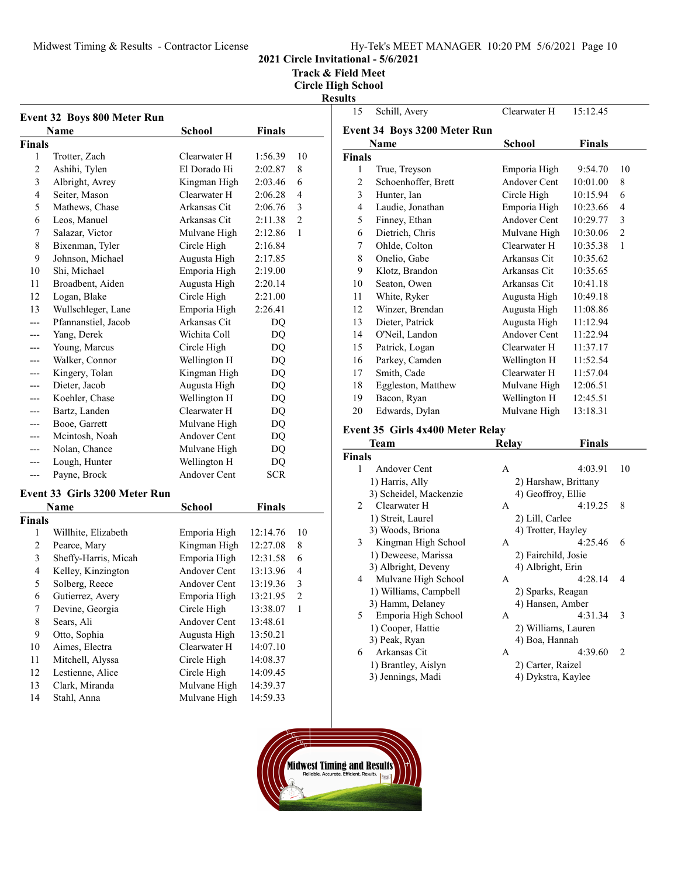Midwest Timing & Results - Contractor License

# 2021 Circle Invitational - 5/6/2021

Track & Field Meet

| <b>Event 32 Boys 800 Meter Run</b> |                               |                     |               |                |  |  |
|------------------------------------|-------------------------------|---------------------|---------------|----------------|--|--|
|                                    | Name                          | School              | <b>Finals</b> |                |  |  |
| Finals                             |                               |                     |               |                |  |  |
| 1                                  | Trotter, Zach                 | Clearwater H        | 1:56.39       | 10             |  |  |
| $\overline{c}$                     | Ashihi, Tylen                 | El Dorado Hi        | 2:02.87       | 8              |  |  |
| 3                                  | Albright, Avrey               | Kingman High        | 2:03.46       | 6              |  |  |
| $\overline{4}$                     | Seiter, Mason                 | Clearwater H        | 2:06.28       | 4              |  |  |
| 5                                  | Mathews, Chase                | Arkansas Cit        | 2:06.76       | 3              |  |  |
| 6                                  | Leos, Manuel                  | Arkansas Cit        | 2:11.38       | $\overline{c}$ |  |  |
| 7                                  | Salazar, Victor               | Mulvane High        | 2:12.86       | 1              |  |  |
| 8                                  | Bixenman, Tyler               | Circle High         | 2:16.84       |                |  |  |
| 9                                  | Johnson, Michael              | Augusta High        | 2:17.85       |                |  |  |
| 10                                 | Shi, Michael                  | Emporia High        | 2:19.00       |                |  |  |
| 11                                 | Broadbent, Aiden              | Augusta High        | 2:20.14       |                |  |  |
| 12                                 | Logan, Blake                  | Circle High         | 2:21.00       |                |  |  |
| 13                                 | Wullschleger, Lane            | Emporia High        | 2:26.41       |                |  |  |
| ---                                | Pfannanstiel, Jacob           | Arkansas Cit        | DQ            |                |  |  |
|                                    | Yang, Derek                   | Wichita Coll        | DQ            |                |  |  |
|                                    | Young, Marcus                 | Circle High         | DQ            |                |  |  |
|                                    | Walker, Connor                | Wellington H        | DQ            |                |  |  |
| ---                                | Kingery, Tolan                | Kingman High        | DQ            |                |  |  |
| ---                                | Dieter, Jacob                 | Augusta High        | DQ            |                |  |  |
| ---                                | Koehler, Chase                | Wellington H        | DQ            |                |  |  |
|                                    | Bartz, Landen                 | Clearwater H        | DQ            |                |  |  |
|                                    | Booe, Garrett                 | Mulvane High        | DQ            |                |  |  |
| ---                                | Mcintosh, Noah                | Andover Cent        | DQ            |                |  |  |
| ---                                | Nolan, Chance                 | Mulvane High        | DQ            |                |  |  |
| ---                                | Lough, Hunter                 | Wellington H        | DQ            |                |  |  |
| ---                                | Payne, Brock                  | <b>Andover Cent</b> | <b>SCR</b>    |                |  |  |
|                                    | Event 33 Girls 3200 Meter Run |                     |               |                |  |  |
|                                    | Name                          | <b>School</b>       | <b>Finals</b> |                |  |  |
| Finals                             |                               |                     |               |                |  |  |
| 1                                  | Willhite, Elizabeth           | Emporia High        | 12:14.76      | 10             |  |  |
| 2                                  | Pearce, Mary                  | Kingman High        | 12:27.08      | 8              |  |  |
| 3                                  | Sheffy-Harris, Micah          | Emporia High        | 12:31.58      | 6              |  |  |
| 4                                  | Kelley, Kinzington            | Andover Cent        | 13:13.96      | 4              |  |  |
| 5                                  | Solberg, Reece                | Andover Cent        | 13:19.36      | 3              |  |  |
| 6                                  | Gutierrez, Avery              | Emporia High        | 13:21.95      | $\overline{c}$ |  |  |
| 7                                  | Devine, Georgia               | Circle High         | 13:38.07      | 1              |  |  |
| $\,$ $\,$                          | Sears, Ali                    | Andover Cent        | 13:48.61      |                |  |  |
| 9                                  | Otto, Sophia                  |                     |               |                |  |  |
| 10                                 |                               | Augusta High        | 13:50.21      |                |  |  |
|                                    | Aimes, Electra                | Clearwater H        | 14:07.10      |                |  |  |
| $11\,$                             | Mitchell, Alyssa              | Circle High         | 14:08.37      |                |  |  |
| 12                                 | Lestienne, Alice              | Circle High         | 14:09.45      |                |  |  |
| 13                                 | Clark, Miranda                | Mulvane High        | 14:39.37      |                |  |  |
| 14                                 | Stahl, Anna                   | Mulvane High        | 14:59.33      |                |  |  |

| ults           |                                  |              |               |                |  |  |
|----------------|----------------------------------|--------------|---------------|----------------|--|--|
| 15             | Schill, Avery                    | Clearwater H | 15:12.45      |                |  |  |
|                | Event 34 Boys 3200 Meter Run     |              |               |                |  |  |
|                | Name                             | School       | <b>Finals</b> |                |  |  |
| <b>Finals</b>  |                                  |              |               |                |  |  |
| 1              | True, Treyson                    | Emporia High | 9:54.70       | 10             |  |  |
| $\overline{c}$ | Schoenhoffer, Brett              | Andover Cent | 10:01.00      | 8              |  |  |
| 3              | Hunter, Ian                      | Circle High  | 10:15.94      | 6              |  |  |
| 4              | Laudie, Jonathan                 | Emporia High | 10:23.66      | 4              |  |  |
| 5              | Finney, Ethan                    | Andover Cent | 10:29.77      | 3              |  |  |
| 6              | Dietrich, Chris                  | Mulvane High | 10:30.06      | $\overline{2}$ |  |  |
| 7              | Ohlde, Colton                    | Clearwater H | 10:35.38      | 1              |  |  |
| 8              | Onelio, Gabe                     | Arkansas Cit | 10:35.62      |                |  |  |
| 9              | Klotz, Brandon                   | Arkansas Cit | 10:35.65      |                |  |  |
| 10             | Seaton, Owen                     | Arkansas Cit | 10:41.18      |                |  |  |
| 11             | White, Ryker                     | Augusta High | 10:49.18      |                |  |  |
| 12             | Winzer, Brendan                  | Augusta High | 11:08.86      |                |  |  |
| 13             | Dieter, Patrick                  | Augusta High | 11:12.94      |                |  |  |
| 14             | O'Neil, Landon                   | Andover Cent | 11:22.94      |                |  |  |
| 15             | Patrick, Logan                   | Clearwater H | 11:37.17      |                |  |  |
| 16             | Parkey, Camden                   | Wellington H | 11:52.54      |                |  |  |
| 17             | Smith, Cade                      | Clearwater H | 11:57.04      |                |  |  |
| 18             | Eggleston, Matthew               | Mulvane High | 12:06.51      |                |  |  |
| 19             | Bacon, Ryan                      | Wellington H | 12:45.51      |                |  |  |
| 20             | Edwards, Dylan                   | Mulvane High | 13:18.31      |                |  |  |
|                | Event 35 Girls 4x400 Meter Relay |              |               |                |  |  |
|                | Team                             | Relay        | Finals        |                |  |  |

|                | Team                   | Relay               | Finals                                                                                                                                                                                                                                                                                                                                                                                                            |  |
|----------------|------------------------|---------------------|-------------------------------------------------------------------------------------------------------------------------------------------------------------------------------------------------------------------------------------------------------------------------------------------------------------------------------------------------------------------------------------------------------------------|--|
| <b>Finals</b>  |                        |                     |                                                                                                                                                                                                                                                                                                                                                                                                                   |  |
| 1              | Andover Cent           | A                   | 10<br>4:03.91                                                                                                                                                                                                                                                                                                                                                                                                     |  |
|                | 1) Harris, Ally        |                     | 2) Harshaw, Brittany                                                                                                                                                                                                                                                                                                                                                                                              |  |
|                | 3) Scheidel, Mackenzie | 4) Geoffroy, Ellie  |                                                                                                                                                                                                                                                                                                                                                                                                                   |  |
| $\mathfrak{D}$ | Clearwater H           | A                   | 4:19.25<br>8                                                                                                                                                                                                                                                                                                                                                                                                      |  |
|                | 1) Streit, Laurel      | 2) Lill, Carlee     |                                                                                                                                                                                                                                                                                                                                                                                                                   |  |
|                | 3) Woods, Briona       | 4) Trotter, Hayley  |                                                                                                                                                                                                                                                                                                                                                                                                                   |  |
| 3              | Kingman High School    | A                   | 4:25.46<br>6                                                                                                                                                                                                                                                                                                                                                                                                      |  |
|                | 1) Deweese, Marissa    | 2) Fairchild, Josie |                                                                                                                                                                                                                                                                                                                                                                                                                   |  |
|                | 3) Albright, Deveny    | 4) Albright, Erin   |                                                                                                                                                                                                                                                                                                                                                                                                                   |  |
| 4              | Mulvane High School    | A                   | 4:28.14<br>4                                                                                                                                                                                                                                                                                                                                                                                                      |  |
|                | 1) Williams, Campbell  |                     | 2) Sparks, Reagan                                                                                                                                                                                                                                                                                                                                                                                                 |  |
|                | 3) Hamm, Delaney       |                     | 4) Hansen, Amber                                                                                                                                                                                                                                                                                                                                                                                                  |  |
| 5              | Emporia High School    | A                   | 4:31.34<br>3                                                                                                                                                                                                                                                                                                                                                                                                      |  |
|                | 1) Cooper, Hattie      |                     | 2) Williams, Lauren                                                                                                                                                                                                                                                                                                                                                                                               |  |
|                | 3) Peak, Ryan          | 4) Boa, Hannah      |                                                                                                                                                                                                                                                                                                                                                                                                                   |  |
| 6              | Arkansas Cit           | A                   | 4:39.60<br>$\mathfrak{D}_{1}^{(1)}=\mathfrak{D}_{2}^{(2)}=\mathfrak{D}_{2}^{(1)}=\mathfrak{D}_{2}^{(1)}=\mathfrak{D}_{2}^{(1)}=\mathfrak{D}_{2}^{(1)}=\mathfrak{D}_{2}^{(1)}=\mathfrak{D}_{2}^{(1)}=\mathfrak{D}_{2}^{(1)}=\mathfrak{D}_{2}^{(1)}=\mathfrak{D}_{2}^{(1)}=\mathfrak{D}_{2}^{(1)}=\mathfrak{D}_{2}^{(1)}=\mathfrak{D}_{2}^{(1)}=\mathfrak{D}_{2}^{(1)}=\mathfrak{D}_{2}^{(1)}=\mathfrak{D}_{2}^{(1$ |  |
|                | 1) Brantley, Aislyn    | 2) Carter, Raizel   |                                                                                                                                                                                                                                                                                                                                                                                                                   |  |
|                | 3) Jennings, Madi      |                     | 4) Dykstra, Kaylee                                                                                                                                                                                                                                                                                                                                                                                                |  |
|                |                        |                     |                                                                                                                                                                                                                                                                                                                                                                                                                   |  |